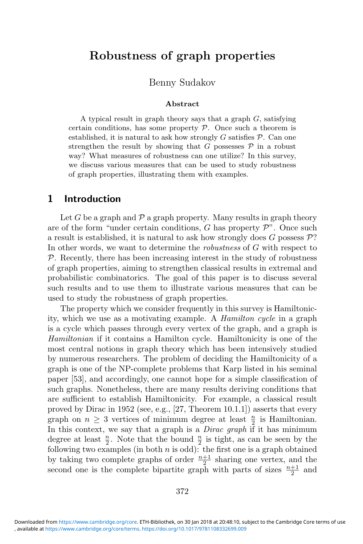# **Robustness of graph properties**

Benny Sudakov

### **Abstract**

A typical result in graph theory says that a graph  $G$ , satisfying certain conditions, has some property  $P$ . Once such a theorem is established, it is natural to ask how strongly  $G$  satisfies  $\mathcal{P}$ . Can one strengthen the result by showing that G possesses  $P$  in a robust way? What measures of robustness can one utilize? In this survey, we discuss various measures that can be used to study robustness of graph properties, illustrating them with examples.

### **1 Introduction**

Let G be a graph and  $\mathcal P$  a graph property. Many results in graph theory are of the form "under certain conditions,  $G$  has property  $\mathcal{P}$ ". Once such a result is established, it is natural to ask how strongly does G possess  $\mathcal{P}$ ? In other words, we want to determine the *robustness* of G with respect to  $P$ . Recently, there has been increasing interest in the study of robustness of graph properties, aiming to strengthen classical results in extremal and probabilistic combinatorics. The goal of this paper is to discuss several such results and to use them to illustrate various measures that can be used to study the robustness of graph properties.

The property which we consider frequently in this survey is Hamiltonicity, which we use as a motivating example. A *Hamilton cycle* in a graph is a cycle which passes through every vertex of the graph, and a graph is *Hamiltonian* if it contains a Hamilton cycle. Hamiltonicity is one of the most central notions in graph theory which has been intensively studied by numerous researchers. The problem of deciding the Hamiltonicity of a graph is one of the NP-complete problems that Karp listed in his seminal paper [53], and accordingly, one cannot hope for a simple classification of such graphs. Nonetheless, there are many results deriving conditions that are sufficient to establish Hamiltonicity. For example, a classical result proved by Dirac in 1952 (see, e.g., [27, Theorem 10.1.1]) asserts that every graph on  $n \geq 3$  vertices of minimum degree at least  $\frac{n}{2}$  is Hamiltonian.<br>In this context, we say that a graph is a *Dirac graph* if it has minimum In this context, we say that a graph is a *Dirac graph* if it has minimum degree at least  $\frac{n}{2}$ . Note that the bound  $\frac{n}{2}$  is tight, as can be seen by the following two examples (in both *n* is odd); the first one is a graph obtained following two examples (in both  $n$  is odd): the first one is a graph obtained by taking two complete graphs of order  $\frac{n+1}{2}$  sharing one vertex, and the second one is the complete bipartite graph with parts of sizes  $\frac{n+1}{2}$  and second one is the complete bipartite graph with parts of sizes  $\frac{n+1}{2}$  and

<sup>,</sup> available at <https://www.cambridge.org/core/terms>. <https://doi.org/10.1017/9781108332699.009> Downloaded from [https://www.cambridge.org/core.](https://www.cambridge.org/core) ETH-Bibliothek, on 30 Jan 2018 at 20:48:10, subject to the Cambridge Core terms of use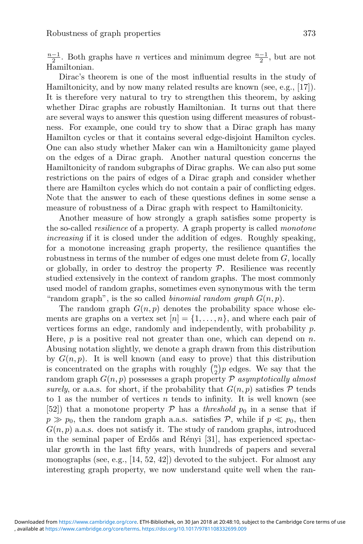$\frac{n-1}{2}$ . Both graphs have *n* vertices and minimum degree  $\frac{n-1}{2}$ , but are not Hamiltonian Hamiltonian.

Dirac's theorem is one of the most influential results in the study of Hamiltonicity, and by now many related results are known (see, e.g., [17]). It is therefore very natural to try to strengthen this theorem, by asking whether Dirac graphs are robustly Hamiltonian. It turns out that there are several ways to answer this question using different measures of robustness. For example, one could try to show that a Dirac graph has many Hamilton cycles or that it contains several edge-disjoint Hamilton cycles. One can also study whether Maker can win a Hamiltonicity game played on the edges of a Dirac graph. Another natural question concerns the Hamiltonicity of random subgraphs of Dirac graphs. We can also put some restrictions on the pairs of edges of a Dirac graph and consider whether there are Hamilton cycles which do not contain a pair of conflicting edges. Note that the answer to each of these questions defines in some sense a measure of robustness of a Dirac graph with respect to Hamiltonicity.

Another measure of how strongly a graph satisfies some property is the so-called *resilience* of a property. A graph property is called *monotone increasing* if it is closed under the addition of edges. Roughly speaking, for a monotone increasing graph property, the resilience quantifies the robustness in terms of the number of edges one must delete from  $G$ , locally or globally, in order to destroy the property  $P$ . Resilience was recently studied extensively in the context of random graphs. The most commonly used model of random graphs, sometimes even synonymous with the term "random graph", is the so called *binomial random graph*  $G(n, p)$ .

The random graph  $G(n, p)$  denotes the probability space whose elements are graphs on a vertex set  $[n] = \{1, \ldots, n\}$ , and where each pair of vertices forms an edge, randomly and independently, with probability p. Here,  $p$  is a positive real not greater than one, which can depend on  $n$ . Abusing notation slightly, we denote a graph drawn from this distribution by  $G(n, p)$ . It is well known (and easy to prove) that this distribution is concentrated on the graphs with roughly  $\binom{n}{2}p$  edges. We say that the 2 random graph G(n, p) possesses a graph property P *asymptotically almost surely*, or a.a.s. for short, if the probability that  $G(n, p)$  satisfies  $\mathcal P$  tends to 1 as the number of vertices  $n$  tends to infinity. It is well known (see [52]) that a monotone property  $P$  has a *threshold*  $p_0$  in a sense that if  $p \gg p_0$ , then the random graph a.a.s. satisfies P, while if  $p \ll p_0$ , then  $G(n, p)$  a.a.s. does not satisfy it. The study of random graphs, introduced in the seminal paper of Erdős and Rényi [31], has experienced spectacular growth in the last fifty years, with hundreds of papers and several monographs (see, e.g., [14, 52, 42]) devoted to the subject. For almost any interesting graph property, we now understand quite well when the ran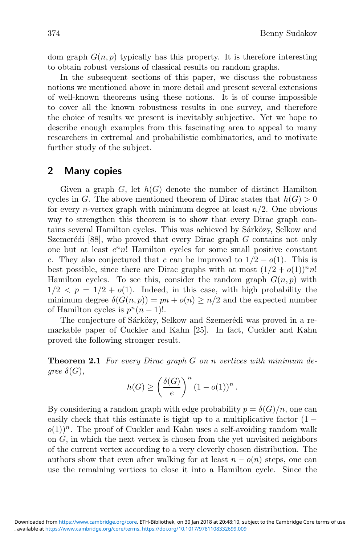dom graph  $G(n, p)$  typically has this property. It is therefore interesting to obtain robust versions of classical results on random graphs.

In the subsequent sections of this paper, we discuss the robustness notions we mentioned above in more detail and present several extensions of well-known theorems using these notions. It is of course impossible to cover all the known robustness results in one survey, and therefore the choice of results we present is inevitably subjective. Yet we hope to describe enough examples from this fascinating area to appeal to many researchers in extremal and probabilistic combinatorics, and to motivate further study of the subject.

## **2 Many copies**

Given a graph  $G$ , let  $h(G)$  denote the number of distinct Hamilton cycles in G. The above mentioned theorem of Dirac states that  $h(G) > 0$ for every *n*-vertex graph with minimum degree at least  $n/2$ . One obvious way to strengthen this theorem is to show that every Dirac graph contains several Hamilton cycles. This was achieved by Sárközy, Selkow and Szemerédi [88], who proved that every Dirac graph  $G$  contains not only one but at least  $c^n n!$ ! Hamilton cycles for some small positive constant c. They also conjectured that c can be improved to  $1/2 - o(1)$ . This is best possible, since there are Dirac graphs with at most  $(1/2 + o(1))^n n!$ Hamilton cycles. To see this, consider the random graph  $G(n, p)$  with  $1/2 < p = 1/2 + o(1)$ . Indeed, in this case, with high probability the minimum degree  $\delta(G(n, p)) = pn + o(n) \geq n/2$  and the expected number of Hamilton cycles is  $p^{n}(n-1)!$ .

The conjecture of Sárközy, Selkow and Szemerédi was proved in a remarkable paper of Cuckler and Kahn [25]. In fact, Cuckler and Kahn proved the following stronger result.

**Theorem 2.1** *For every Dirac graph* G *on* n *vertices with minimum degree*  $\delta(G)$ *,* 

$$
h(G) \ge \left(\frac{\delta(G)}{e}\right)^n (1 - o(1))^n.
$$

By considering a random graph with edge probability  $p = \delta(G)/n$ , one can easily check that this estimate is tight up to a multiplicative factor  $(1$  $o(1)$ <sup>n</sup>. The proof of Cuckler and Kahn uses a self-avoiding random walk on  $G$ , in which the next vertex is chosen from the yet unvisited neighbors of the current vertex according to a very cleverly chosen distribution. The authors show that even after walking for at least  $n - o(n)$  steps, one can use the remaining vertices to close it into a Hamilton cycle. Since the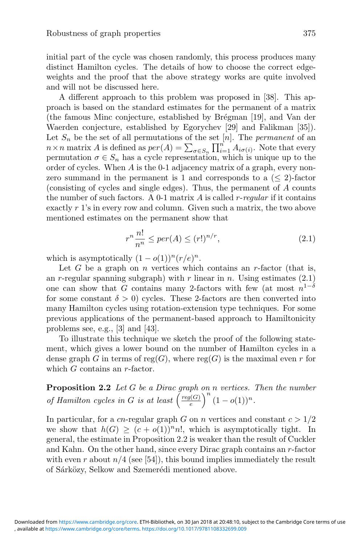initial part of the cycle was chosen randomly, this process produces many distinct Hamilton cycles. The details of how to choose the correct edgeweights and the proof that the above strategy works are quite involved and will not be discussed here.

A different approach to this problem was proposed in [38]. This approach is based on the standard estimates for the permanent of a matrix (the famous Minc conjecture, established by Brégman [19], and Van der Waerden conjecture, established by Egorychev [29] and Falikman [35]). Let  $S_n$  be the set of all permutations of the set  $[n]$ . The *permanent* of an  $n \times n$  matrix A is defined as  $per(A) = \sum_{\sigma \in S_n} \prod_{i=1}^n A_{i\sigma(i)}$ . Note that every permutation  $\sigma \in S_n$  has a cycle representation, which is unique up to the order of cycles. When A is the 0-1 adjacency matrix of a graph, every nonzero summand in the permanent is 1 and corresponds to a  $(\leq 2)$ -factor (consisting of cycles and single edges). Thus, the permanent of A counts the number of such factors. A 0-1 matrix A is called r-*regular* if it contains exactly r 1's in every row and column. Given such a matrix, the two above mentioned estimates on the permanent show that

$$
r^n \frac{n!}{n^n} \leq per(A) \leq (r!)^{n/r},\tag{2.1}
$$

which is asymptotically  $(1 - o(1))^n (r/e)^n$ .

Let  $G$  be a graph on  $n$  vertices which contains an  $r$ -factor (that is, an r-regular spanning subgraph) with r linear in n. Using estimates  $(2.1)$ one can show that G contains many 2-factors with few (at most  $n^{1-\delta}$ for some constant  $\delta > 0$ ) cycles. These 2-factors are then converted into many Hamilton cycles using rotation-extension type techniques. For some previous applications of the permanent-based approach to Hamiltonicity problems see, e.g., [3] and [43].

To illustrate this technique we sketch the proof of the following statement, which gives a lower bound on the number of Hamilton cycles in a dense graph G in terms of reg(G), where reg(G) is the maximal even r for which G contains an r-factor.

**Proposition 2.2** *Let* G *be a Dirac graph on* n *vertices. Then the number of Hamilton cycles in G is at least*  $\left(\frac{reg(G)}{e}\right)^n (1 - o(1))^n$ .

In particular, for a cn-regular graph G on n vertices and constant  $c > 1/2$ we show that  $h(G) \geq (c + o(1))^n n!$ , which is asymptotically tight. In general, the estimate in Proposition 2.2 is weaker than the result of Cuckler and Kahn. On the other hand, since every Dirac graph contains an r-factor with even r about  $n/4$  (see [54]), this bound implies immediately the result of Sárközy, Selkow and Szemerédi mentioned above.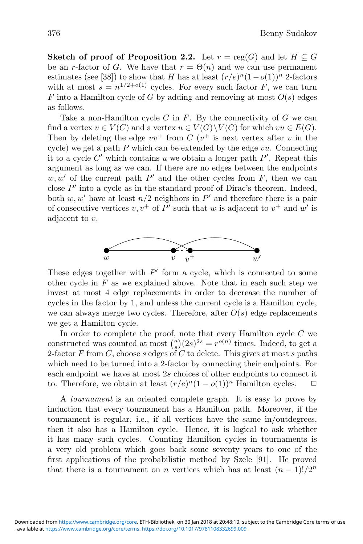**Sketch of proof of Proposition 2.2.** Let  $r = \text{reg}(G)$  and let  $H \subseteq G$ be an r-factor of G. We have that  $r = \Theta(n)$  and we can use permanent estimates (see [38]) to show that H has at least  $(r/e)^n(1-o(1))^n$  2-factors with at most  $s = n^{1/2+o(1)}$  cycles. For every such factor F, we can turn F into a Hamilton cycle of G by adding and removing at most  $O(s)$  edges as follows.

Take a non-Hamilton cycle  $C$  in  $F$ . By the connectivity of  $G$  we can find a vertex  $v \in V(C)$  and a vertex  $u \in V(G) \backslash V(C)$  for which  $vu \in E(G)$ . Then by deleting the edge  $vv^+$  from C  $(v^+$  is next vertex after v in the cycle) we get a path  $P$  which can be extended by the edge  $vu$ . Connecting it to a cycle C' which contains u we obtain a longer path  $P'$ . Repeat this argument as long as we can. If there are no edges between the endpoints  $w, w'$  of the current path  $P'$  and the other cycles from F, then we can close  $P'$  into a cycle as in the standard proof of Dirac's theorem. Indeed, both  $w, w'$  have at least  $n/2$  neighbors in  $P'$  and therefore there is a pair of consecutive vertices  $v, v^+$  of  $P'$  such that w is adjacent to  $v^+$  and w' is adjacent to v.



These edges together with  $P'$  form a cycle, which is connected to some other cycle in  $F$  as we explained above. Note that in each such step we invest at most 4 edge replacements in order to decrease the number of cycles in the factor by 1, and unless the current cycle is a Hamilton cycle, we can always merge two cycles. Therefore, after  $O(s)$  edge replacements we get a Hamilton cycle.

In order to complete the proof, note that every Hamilton cycle  $C$  we constructed was counted at most  $\binom{n}{s}(2s)^{2s} = r^{o(n)}$  times. Indeed, to get a 2-factor  $F$  from  $C$ , choose  $s$  edges of  $C$  to delete. This gives at most  $s$  paths which need to be turned into a 2-factor by connecting their endpoints. For each endpoint we have at most 2s choices of other endpoints to connect it to. Therefore, we obtain at least  $(r/e)^n(1 - o(1))^n$  Hamilton cycles.  $\Box$ 

A *tournament* is an oriented complete graph. It is easy to prove by induction that every tournament has a Hamilton path. Moreover, if the tournament is regular, i.e., if all vertices have the same in/outdegrees, then it also has a Hamilton cycle. Hence, it is logical to ask whether it has many such cycles. Counting Hamilton cycles in tournaments is a very old problem which goes back some seventy years to one of the first applications of the probabilistic method by Szele [91]. He proved that there is a tournament on n vertices which has at least  $(n-1)!/2^n$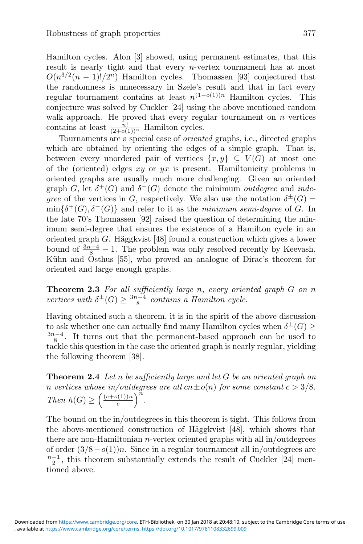Hamilton cycles. Alon [3] showed, using permanent estimates, that this result is nearly tight and that every *n*-vertex tournament has at most  $O(n^{3/2}(n-1)!/2^n)$  Hamilton cycles. Thomassen [93] conjectured that the randomness is unnecessary in Szele's result and that in fact every regular tournament contains at least  $n^{(1-o(1))n}$  Hamilton cycles. This conjecture was solved by Cuckler [24] using the above mentioned random walk approach. He proved that every regular tournament on  $n$  vertices contains at least  $\frac{n!}{(2+o(1))^n}$  Hamilton cycles.<br>Tournaments are a special case of *orient* 

Tournaments are a special case of *oriented* graphs, i.e., directed graphs which are obtained by orienting the edges of a simple graph. That is, between every unordered pair of vertices  $\{x, y\} \subseteq V(G)$  at most one of the (oriented) edges  $xy$  or  $yx$  is present. Hamiltonicity problems in oriented graphs are usually much more challenging. Given an oriented graph G, let  $\delta^+(G)$  and  $\delta^-(G)$  denote the minimum *outdegree* and *indegree* of the vertices in G, respectively. We also use the notation  $\delta^{\pm}(G)$  =  $\min\{\delta^+(G), \delta^-(G)\}\$ and refer to it as the *minimum semi-degree* of G. In the late 70's Thomassen [92] raised the question of determining the minimum semi-degree that ensures the existence of a Hamilton cycle in an oriented graph  $G$ . Häggkvist [48] found a construction which gives a lower bound of  $\frac{3n-4}{8} - 1$ . The problem was only resolved recently by Keevash,<br>Kühn and Osthus [55], who proved an analogue of Dirac's theorem for Kühn and Östhus [55], who proved an analogue of Dirac's theorem for oriented and large enough graphs.

**Theorem 2.3** *For all sufficiently large* n*, every oriented graph* G *on* n *vertices with*  $\delta^{\pm}(G) \ge \frac{3n-4}{8}$  *contains a Hamilton cycle.* 

Having obtained such a theorem, it is in the spirit of the above discussion to ask whether one can actually find many Hamilton cycles when  $\delta^{\pm}(G) \geq$  $\frac{3n-4}{8}$ . It turns out that the permanent-based approach can be used to  $\frac{3n-4}{8}$ . tackle this question in the case the oriented graph is nearly regular, yielding the following theorem [38].

**Theorem 2.4** *Let* n *be sufficiently large and let* G *be an oriented graph on n vertices whose in/outdegrees are all*  $cn \pm o(n)$  *for some constant*  $c > 3/8$ *. Then*  $h(G) \geq \left(\frac{(c+o(1))n}{e}\right)^n$ .

The bound on the in/outdegrees in this theorem is tight. This follows from the above-mentioned construction of Häggkvist  $[48]$ , which shows that there are non-Hamiltonian n-vertex oriented graphs with all in/outdegrees of order  $(3/8-o(1))n$ . Since in a regular tournament all in/outdegrees are  $\frac{n-1}{2}$ , this theorem substantially extends the result of Cuckler [24] mentioned above tioned above.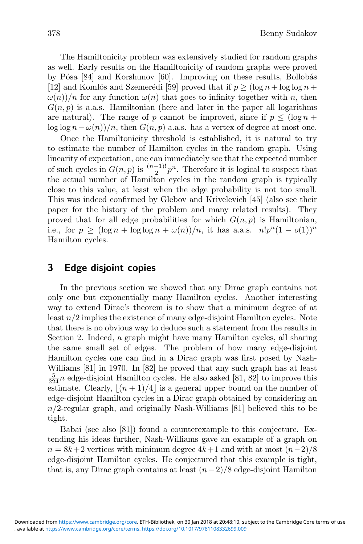The Hamiltonicity problem was extensively studied for random graphs as well. Early results on the Hamiltonicity of random graphs were proved by Pósa [84] and Korshunov [60]. Improving on these results, Bollobás [12] and Komlós and Szemerédi [59] proved that if  $p \geq (\log n + \log \log n +$  $\omega(n)/n$  for any function  $\omega(n)$  that goes to infinity together with n, then  $G(n, p)$  is a.a.s. Hamiltonian (here and later in the paper all logarithms are natural). The range of p cannot be improved, since if  $p < (\log n +$ log log  $n - \omega(n)/n$ , then  $G(n, p)$  a.a.s. has a vertex of degree at most one.

Once the Hamiltonicity threshold is established, it is natural to try to estimate the number of Hamilton cycles in the random graph. Using linearity of expectation, one can immediately see that the expected number of such cycles in  $G(n, p)$  is  $\frac{(n-1)!}{2}p^n$ . Therefore it is logical to suspect that the actual number of Hamilton cycles in the random graph is typically the actual number of Hamilton cycles in the random graph is typically close to this value, at least when the edge probability is not too small. This was indeed confirmed by Glebov and Krivelevich [45] (also see their paper for the history of the problem and many related results). They proved that for all edge probabilities for which  $G(n, p)$  is Hamiltonian, i.e., for  $p \geq (\log n + \log \log n + \omega(n))/n$ , it has a.a.s.  $n!p^{n}(1 - o(1))^{n}$ Hamilton cycles.

## **3 Edge disjoint copies**

In the previous section we showed that any Dirac graph contains not only one but exponentially many Hamilton cycles. Another interesting way to extend Dirac's theorem is to show that a minimum degree of at least  $n/2$  implies the existence of many edge-disjoint Hamilton cycles. Note that there is no obvious way to deduce such a statement from the results in Section 2. Indeed, a graph might have many Hamilton cycles, all sharing the same small set of edges. The problem of how many edge-disjoint Hamilton cycles one can find in a Dirac graph was first posed by Nash-Williams [81] in 1970. In [82] he proved that any such graph has at least  $\frac{5}{224}n$  edge-disjoint Hamilton cycles. He also asked [81, 82] to improve this estimate. Clearly  $\lfloor (n+1)/4 \rfloor$  is a general upper bound on the number of estimate. Clearly,  $\lfloor (n+1)/4 \rfloor$  is a general upper bound on the number of edge-disjoint Hamilton cycles in a Dirac graph obtained by considering an  $n/2$ -regular graph, and originally Nash-Williams [81] believed this to be tight.

Babai (see also [81]) found a counterexample to this conjecture. Extending his ideas further, Nash-Williams gave an example of a graph on  $n = 8k+2$  vertices with minimum degree  $4k+1$  and with at most  $(n-2)/8$ edge-disjoint Hamilton cycles. He conjectured that this example is tight, that is, any Dirac graph contains at least  $(n-2)/8$  edge-disjoint Hamilton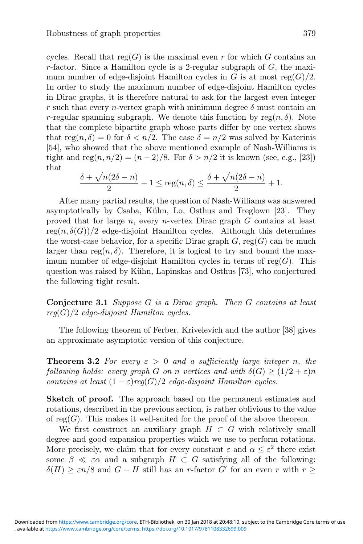cycles. Recall that  $reg(G)$  is the maximal even r for which G contains an r-factor. Since a Hamilton cycle is a 2-regular subgraph of  $G$ , the maximum number of edge-disjoint Hamilton cycles in G is at most  $reg(G)/2$ . In order to study the maximum number of edge-disjoint Hamilton cycles in Dirac graphs, it is therefore natural to ask for the largest even integer r such that every n-vertex graph with minimum degree  $\delta$  must contain an r-regular spanning subgraph. We denote this function by  $reg(n, \delta)$ . Note that the complete bipartite graph whose parts differ by one vertex shows that reg $(n, \delta) = 0$  for  $\delta < n/2$ . The case  $\delta = n/2$  was solved by Katerinis [54], who showed that the above mentioned example of Nash-Williams is tight and reg $(n, n/2) = (n-2)/8$ . For  $\delta > n/2$  it is known (see, e.g., [23]) that

$$
\frac{\delta + \sqrt{n(2\delta - n)}}{2} - 1 \le \text{reg}(n, \delta) \le \frac{\delta + \sqrt{n(2\delta - n)}}{2} + 1.
$$

After many partial results, the question of Nash-Williams was answered asymptotically by Csaba, Kühn, Lo, Osthus and Treglown [23]. They proved that for large  $n$ , every  $n$ -vertex Dirac graph  $G$  contains at least  $reg(n, \delta(G))/2$  edge-disjoint Hamilton cycles. Although this determines the worst-case behavior, for a specific Dirac graph  $G$ , reg( $G$ ) can be much larger than reg $(n, \delta)$ . Therefore, it is logical to try and bound the maximum number of edge-disjoint Hamilton cycles in terms of  $reg(G)$ . This question was raised by Kühn, Lapinskas and Osthus [73], who conjectured the following tight result.

**Conjecture 3.1** *Suppose* G *is a Dirac graph. Then* G *contains at least reg*(G)/2 *edge-disjoint Hamilton cycles.*

The following theorem of Ferber, Krivelevich and the author [38] gives an approximate asymptotic version of this conjecture.

**Theorem 3.2** *For every*  $\varepsilon > 0$  *and a sufficiently large integer n, the following holds: every graph* G *on* n *vertices and with*  $\delta(G) \geq (1/2 + \varepsilon)n$ *contains at least*  $(1 - \varepsilon) \text{reg}(G)/2$  *edge-disjoint Hamilton cycles.* 

**Sketch of proof.** The approach based on the permanent estimates and rotations, described in the previous section, is rather oblivious to the value of  $reg(G)$ . This makes it well-suited for the proof of the above theorem.

We first construct an auxiliary graph  $H \subset G$  with relatively small degree and good expansion properties which we use to perform rotations. More precisely, we claim that for every constant  $\varepsilon$  and  $\alpha \leq \varepsilon^2$  there exist some  $\beta \ll \varepsilon \alpha$  and a subgraph  $H \subset G$  satisfying all of the following:  $\delta(H) \geq \varepsilon n/8$  and  $G - H$  still has an r-factor G' for an even r with  $r \geq$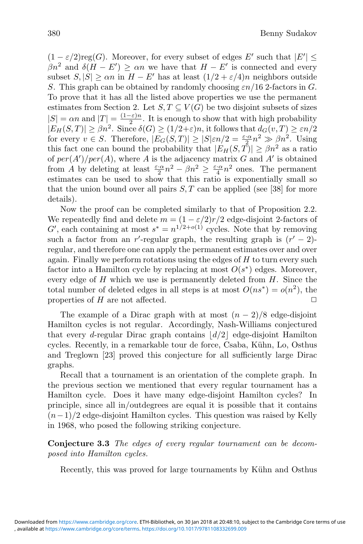$(1 - \varepsilon/2) \text{reg}(G)$ . Moreover, for every subset of edges E' such that  $|E'| \le$  $\beta n^2$  and  $\delta(H - E') \ge \alpha n$  we have that  $H - E'$  is connected and every subset  $S, |S| \geq \alpha n$  in  $H - E'$  has at least  $(1/2 + \varepsilon/4)n$  neighbors outside S. This graph can be obtained by randomly choosing  $\varepsilon n/16$  2-factors in G. To prove that it has all the listed above properties we use the permanent estimates from Section 2. Let  $S, T \subseteq V(G)$  be two disjoint subsets of sizes  $|S| = \alpha n$  and  $|T| = \frac{(1-\varepsilon)n}{2}$ . It is enough to show that with high probability  $|E_H(S,T)| \ge \beta n^2$ . Since  $\delta(G) \ge (1/2+\varepsilon)n$ , it follows that  $d_G(v,T) \ge \varepsilon n/2$ for every  $v \in S$ . Therefore,  $|E_G(S,T)| \ge |S|\varepsilon n/2 = \frac{\varepsilon \cdot \alpha}{2} n^2 \gg \beta n^2$ . Using for every  $v \in S$ . Therefore,  $|E_G(S,T)| \ge |S|\varepsilon n/2 = \frac{\varepsilon \cdot \alpha}{2} n^2 \gg \beta n^2$ . Using this fact one can bound the probability that  $|E_H(S,T)| \ge \beta n^2$  as a ratio of  $per(A')/per(A)$ , where A is the adjacency matrix G and A' is obtained from A by deleting at least  $\frac{\varepsilon \cdot \alpha}{2} n^2 - \beta n^2 \geq \frac{\varepsilon \cdot \alpha}{4} n^2$  ones. The permanent<br>estimates can be used to show that this ratio is exponentially small so estimates can be used to show that this ratio is exponentially small so that the union bound over all pairs  $S, T$  can be applied (see [38] for more details).

Now the proof can be completed similarly to that of Proposition 2.2. We repeatedly find and delete  $m = (1 - \varepsilon/2)r/2$  edge-disjoint 2-factors of G', each containing at most  $s^* = n^{1/2+o(1)}$  cycles. Note that by removing such a factor from an r'-regular graph, the resulting graph is  $(r'-2)$ regular, and therefore one can apply the permanent estimates over and over again. Finally we perform rotations using the edges of  $H$  to turn every such factor into a Hamilton cycle by replacing at most  $O(s^*)$  edges. Moreover, every edge of  $H$  which we use is permanently deleted from  $H$ . Since the total number of deleted edges in all steps is at most  $O(ns^*) = o(n^2)$ , the properties of  $H$  are not affected.

The example of a Dirac graph with at most  $(n-2)/8$  edge-disjoint Hamilton cycles is not regular. Accordingly, Nash-Williams conjectured that every *d*-regular Dirac graph contains  $\lfloor d/2 \rfloor$  edge-disjoint Hamilton cycles. Recently, in a remarkable tour de force, Csaba, Kühn, Lo, Osthus and Treglown [23] proved this conjecture for all sufficiently large Dirac graphs.

Recall that a tournament is an orientation of the complete graph. In the previous section we mentioned that every regular tournament has a Hamilton cycle. Does it have many edge-disjoint Hamilton cycles? In principle, since all in/outdegrees are equal it is possible that it contains  $(n-1)/2$  edge-disjoint Hamilton cycles. This question was raised by Kelly in 1968, who posed the following striking conjecture.

**Conjecture 3.3** *The edges of every regular tournament can be decomposed into Hamilton cycles.*

Recently, this was proved for large tournaments by Kühn and Osthus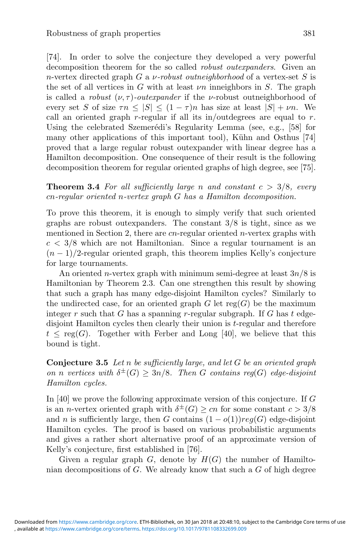[74]. In order to solve the conjecture they developed a very powerful decomposition theorem for the so called *robust outexpanders*. Given an n-vertex directed graph G a ν*-robust outneighborhood* of a vertex-set S is the set of all vertices in G with at least  $\nu$ n inneighbors in S. The graph is called a *robust*  $(\nu, \tau)$ *-outexpander* if the *v*-robust outneighborhood of every set S of size  $\tau n \leq |S| \leq (1 - \tau)n$  has size at least  $|S| + \nu n$ . We call an oriented graph r-regular if all its in/outdegrees are equal to  $r$ . Using the celebrated Szemerédi's Regularity Lemma (see, e.g., [58] for many other applications of this important tool), Kühn and Osthus [74] proved that a large regular robust outexpander with linear degree has a Hamilton decomposition. One consequence of their result is the following decomposition theorem for regular oriented graphs of high degree, see [75].

**Theorem 3.4** For all sufficiently large n and constant  $c > 3/8$ , every cn*-regular oriented* n*-vertex graph* G *has a Hamilton decomposition.*

To prove this theorem, it is enough to simply verify that such oriented graphs are robust outexpanders. The constant  $3/8$  is tight, since as we mentioned in Section 2, there are cn-regular oriented n-vertex graphs with  $c < 3/8$  which are not Hamiltonian. Since a regular tournament is an  $(n-1)/2$ -regular oriented graph, this theorem implies Kelly's conjecture for large tournaments.

An oriented *n*-vertex graph with minimum semi-degree at least  $3n/8$  is Hamiltonian by Theorem 2.3. Can one strengthen this result by showing that such a graph has many edge-disjoint Hamilton cycles? Similarly to the undirected case, for an oriented graph  $G$  let reg( $G$ ) be the maximum integer r such that G has a spanning r-regular subgraph. If G has  $t$  edgedisjoint Hamilton cycles then clearly their union is t-regular and therefore  $t \leq \text{reg}(G)$ . Together with Ferber and Long [40], we believe that this bound is tight.

**Conjecture 3.5** *Let* n *be sufficiently large, and let* G *be an oriented graph on n vertices with*  $\delta^{\pm}(G) > 3n/8$ *. Then G contains reg(G) edge-disjoint Hamilton cycles.*

In [40] we prove the following approximate version of this conjecture. If G is an *n*-vertex oriented graph with  $\delta^{\pm}(G) \geq cn$  for some constant  $c > 3/8$ and n is sufficiently large, then G contains  $(1 - o(1))reg(G)$  edge-disjoint Hamilton cycles. The proof is based on various probabilistic arguments and gives a rather short alternative proof of an approximate version of Kelly's conjecture, first established in [76].

Given a regular graph  $G$ , denote by  $H(G)$  the number of Hamiltonian decompositions of G. We already know that such a G of high degree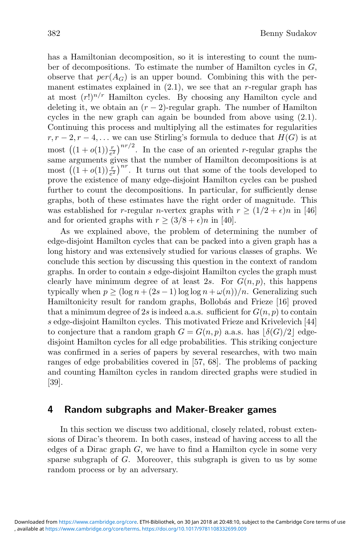has a Hamiltonian decomposition, so it is interesting to count the number of decompositions. To estimate the number of Hamilton cycles in  $G$ , observe that  $per(A_G)$  is an upper bound. Combining this with the permanent estimates explained in  $(2.1)$ , we see that an r-regular graph has at most  $(r!)^{n/r}$  Hamilton cycles. By choosing any Hamilton cycle and deleting it, we obtain an  $(r-2)$ -regular graph. The number of Hamilton cycles in the new graph can again be bounded from above using (2.1). Continuing this process and multiplying all the estimates for regularities  $r, r-2, r-4, \ldots$  we can use Stirling's formula to deduce that  $H(G)$  is at most  $((1+o(1))\frac{r}{e^2})^{nr/2}$ . In the case of an oriented *r*-regular graphs the same arguments gives that the number of Hamilton decompositions is at most  $((1+o(1))\frac{r}{e^2})^{nr}$ . It turns out that some of the tools developed to prove the existence of many edge-disjoint Hamilton cycles can be pushed further to count the decompositions. In particular, for sufficiently dense graphs, both of these estimates have the right order of magnitude. This was established for r-regular n-vertex graphs with  $r \geq (1/2 + \epsilon)n$  in [46] and for oriented graphs with  $r \geq (3/8 + \epsilon)n$  in [40].

As we explained above, the problem of determining the number of edge-disjoint Hamilton cycles that can be packed into a given graph has a long history and was extensively studied for various classes of graphs. We conclude this section by discussing this question in the context of random graphs. In order to contain s edge-disjoint Hamilton cycles the graph must clearly have minimum degree of at least 2s. For  $G(n, p)$ , this happens typically when  $p \geq (\log n + (2s - 1) \log \log n + \omega(n))/n$ . Generalizing such Hamiltonicity result for random graphs, Bollobás and Frieze [16] proved that a minimum degree of 2s is indeed a.a.s. sufficient for  $G(n, p)$  to contain s edge-disjoint Hamilton cycles. This motivated Frieze and Krivelevich [44] to conjecture that a random graph  $G = G(n, p)$  a.a.s. has  $\lfloor \delta(G)/2 \rfloor$  edgedisjoint Hamilton cycles for all edge probabilities. This striking conjecture was confirmed in a series of papers by several researches, with two main ranges of edge probabilities covered in [57, 68]. The problems of packing and counting Hamilton cycles in random directed graphs were studied in [39].

### **4 Random subgraphs and Maker-Breaker games**

In this section we discuss two additional, closely related, robust extensions of Dirac's theorem. In both cases, instead of having access to all the edges of a Dirac graph  $G$ , we have to find a Hamilton cycle in some very sparse subgraph of G. Moreover, this subgraph is given to us by some random process or by an adversary.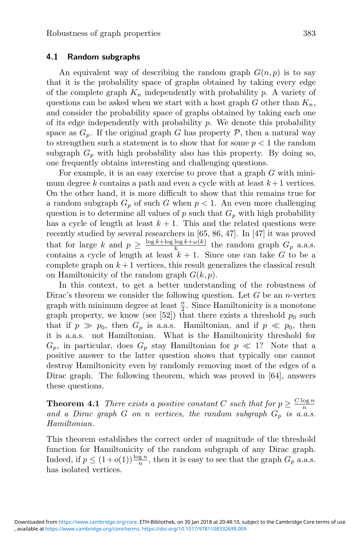### **4.1 Random subgraphs**

An equivalent way of describing the random graph  $G(n, p)$  is to say that it is the probability space of graphs obtained by taking every edge of the complete graph  $K_n$  independently with probability p. A variety of questions can be asked when we start with a host graph G other than  $K_n$ , and consider the probability space of graphs obtained by taking each one of its edge independently with probability  $p$ . We denote this probability space as  $G_p$ . If the original graph G has property P, then a natural way to strengthen such a statement is to show that for some  $p < 1$  the random subgraph  $G_p$  with high probability also has this property. By doing so, one frequently obtains interesting and challenging questions.

For example, it is an easy exercise to prove that a graph  $G$  with minimum degree k contains a path and even a cycle with at least  $k+1$  vertices. On the other hand, it is more difficult to show that this remains true for a random subgraph  $G_p$  of such G when  $p < 1$ . An even more challenging question is to determine all values of  $p$  such that  $G_p$  with high probability has a cycle of length at least  $k + 1$ . This and the related questions were recently studied by several researchers in [65, 86, 47]. In [47] it was proved that for large k and  $p \geq \frac{\log k + \log \log k + \omega(k)}{k}$  the random graph  $G_p$  a.a.s. contains a cycle of length at least  $k + 1$ . Since one can take G to be a complete graph on  $k+1$  vertices, this result generalizes the classical result on Hamiltonicity of the random graph  $G(k, p)$ .

In this context, to get a better understanding of the robustness of Dirac's theorem we consider the following question. Let  $G$  be an *n*-vertex graph with minimum degree at least  $\frac{n}{2}$ . Since Hamiltonicity is a monotone<br>graph property, we know (see [52]) that there exists a threshold  $n_0$  such graph property, we know (see [52]) that there exists a threshold  $p_0$  such that if  $p \gg p_0$ , then  $G_p$  is a.a.s. Hamiltonian, and if  $p \ll p_0$ , then it is a.a.s. not Hamiltonian. What is the Hamiltonicity threshold for  $G_p$ , in particular, does  $G_p$  stay Hamiltonian for  $p \ll 1$ ? Note that a positive answer to the latter question shows that typically one cannot destroy Hamiltonicity even by randomly removing most of the edges of a Dirac graph. The following theorem, which was proved in [64], answers these questions.

**Theorem 4.1** *There exists a positive constant* C *such that for*  $p \geq \frac{C \log n}{n}$ and a Dirac graph  $G$  on  $n$  vertices, the random subgraph  $G_p$  is a.a.s. *Hamiltonian.*

This theorem establishes the correct order of magnitude of the threshold function for Hamiltonicity of the random subgraph of any Dirac graph. Indeed, if  $p \leq (1+o(1))\frac{\log n}{n}$ , then it is easy to see that the graph  $G_p$  a.a.s. has isolated vertices.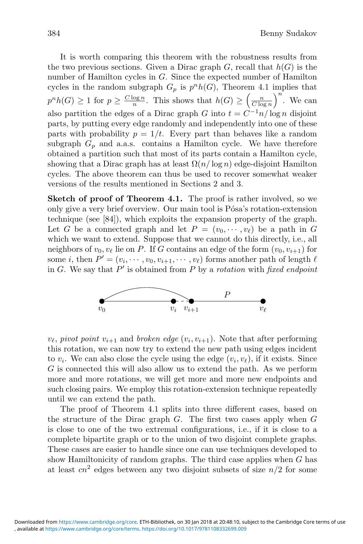It is worth comparing this theorem with the robustness results from the two previous sections. Given a Dirac graph  $G$ , recall that  $h(G)$  is the number of Hamilton cycles in G. Since the expected number of Hamilton cycles in the random subgraph  $G_p$  is  $p<sup>n</sup>h(G)$ , Theorem 4.1 implies that  $p^{n}h(G) \geq 1$  for  $p \geq \frac{C \log n}{n}$ . This shows that  $h(G) \geq \left(\frac{n}{C \log n}\right)$ .  $C \log n$ <br> $-1$  $\Big)^n$ . We can also partition the edges of a Dirac graph G into  $t = C^{-1}n / \log n$  disjoint parts, by putting every edge randomly and independently into one of these parts with probability  $p = 1/t$ . Every part than behaves like a random subgraph  $G_p$  and a.a.s. contains a Hamilton cycle. We have therefore obtained a partition such that most of its parts contain a Hamilton cycle, showing that a Dirac graph has at least  $\Omega(n/\log n)$  edge-disjoint Hamilton cycles. The above theorem can thus be used to recover somewhat weaker versions of the results mentioned in Sections 2 and 3.

**Sketch of proof of Theorem 4.1.** The proof is rather involved, so we only give a very brief overview. Our main tool is Pósa's rotation-extension technique (see [84]), which exploits the expansion property of the graph. Let G be a connected graph and let  $P = (v_0, \dots, v_\ell)$  be a path in G which we want to extend. Suppose that we cannot do this directly, i.e., all neighbors of  $v_0, v_\ell$  lie on P. If G contains an edge of the form  $(v_0, v_{i+1})$  for some i, then  $P' = (v_i, \dots, v_0, v_{i+1}, \dots, v_\ell)$  forms another path of length  $\ell$ <br>in C. We say that  $P'$  is obtained from P by a getation with fixed endmaint in  $G$ . We say that  $P'$  is obtained from  $P$  by a *rotation* with *fixed endpoint* 



 $v_{\ell}$ , *pivot point*  $v_{i+1}$  and *broken edge*  $(v_i, v_{i+1})$ . Note that after performing this rotation, we can now try to extend the new path using edges incident to  $v_i$ . We can also close the cycle using the edge  $(v_i, v_\ell)$ , if it exists. Since G is connected this will also allow us to extend the path. As we perform more and more rotations, we will get more and more new endpoints and such closing pairs. We employ this rotation-extension technique repeatedly until we can extend the path.

The proof of Theorem 4.1 splits into three different cases, based on the structure of the Dirac graph  $G$ . The first two cases apply when  $G$ is close to one of the two extremal configurations, i.e., if it is close to a complete bipartite graph or to the union of two disjoint complete graphs. These cases are easier to handle since one can use techniques developed to show Hamiltonicity of random graphs. The third case applies when  $G$  has at least  $cn^2$  edges between any two disjoint subsets of size  $n/2$  for some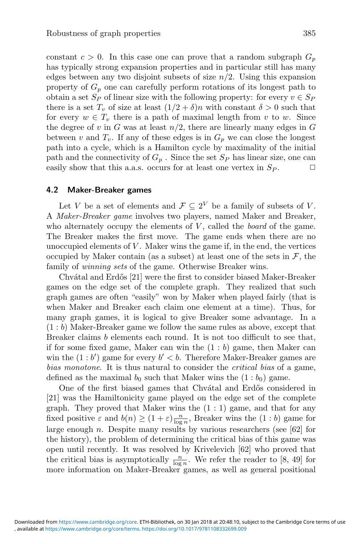constant  $c > 0$ . In this case one can prove that a random subgraph  $G_p$ has typically strong expansion properties and in particular still has many edges between any two disjoint subsets of size  $n/2$ . Using this expansion property of  $G_p$  one can carefully perform rotations of its longest path to obtain a set  $S_P$  of linear size with the following property: for every  $v \in S_P$ there is a set  $T_v$  of size at least  $(1/2 + \delta)n$  with constant  $\delta > 0$  such that for every  $w \in T_v$  there is a path of maximal length from v to w. Since the degree of v in G was at least  $n/2$ , there are linearly many edges in G between v and  $T_v$ . If any of these edges is in  $G_p$  we can close the longest path into a cycle, which is a Hamilton cycle by maximality of the initial path and the connectivity of  $G_p$ . Since the set  $S_p$  has linear size, one can easily show that this a.a.s. occurs for at least one vertex in  $S_P$ .  $\Box$ 

#### **4.2 Maker-Breaker games**

Let V be a set of elements and  $\mathcal{F} \subseteq 2^V$  be a family of subsets of V. A *Maker-Breaker game* involves two players, named Maker and Breaker, who alternately occupy the elements of  $V$ , called the *board* of the game. The Breaker makes the first move. The game ends when there are no unoccupied elements of  $V$ . Maker wins the game if, in the end, the vertices occupied by Maker contain (as a subset) at least one of the sets in  $\mathcal{F}$ , the family of *winning sets* of the game. Otherwise Breaker wins.

Chvátal and Erdős [21] were the first to consider biased Maker-Breaker games on the edge set of the complete graph. They realized that such graph games are often "easily" won by Maker when played fairly (that is when Maker and Breaker each claim one element at a time). Thus, for many graph games, it is logical to give Breaker some advantage. In a (1 : b) Maker-Breaker game we follow the same rules as above, except that Breaker claims b elements each round. It is not too difficult to see that, if for some fixed game, Maker can win the  $(1 : b)$  game, then Maker can win the  $(1:b')$  game for every  $b' < b$ . Therefore Maker-Breaker games are *bias monotone*. It is thus natural to consider the *critical bias* of a game, defined as the maximal  $b_0$  such that Maker wins the  $(1 : b_0)$  game.

One of the first biased games that Chvátal and Erdős considered in [21] was the Hamiltonicity game played on the edge set of the complete graph. They proved that Maker wins the  $(1:1)$  game, and that for any fixed positive  $\varepsilon$  and  $b(n) \geq (1 + \varepsilon) \frac{n}{\log n}$ , Breaker wins the  $(1 : b)$  game for large enough  $n$ . Despite many results by various researchers (see [62] for the history), the problem of determining the critical bias of this game was open until recently. It was resolved by Krivelevich [62] who proved that the critical bias is asymptotically  $\frac{n}{\log n}$ . We refer the reader to [8, 49] for<br>more information on Maker-Breaker games, as well as general positional more information on Maker-Breaker games, as well as general positional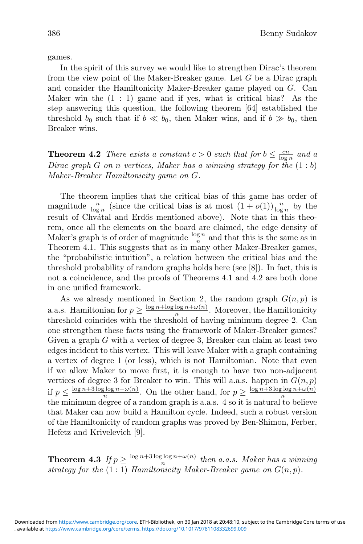games.

In the spirit of this survey we would like to strengthen Dirac's theorem from the view point of the Maker-Breaker game. Let G be a Dirac graph and consider the Hamiltonicity Maker-Breaker game played on G. Can Maker win the  $(1 : 1)$  game and if yes, what is critical bias? As the step answering this question, the following theorem [64] established the threshold  $b_0$  such that if  $b \ll b_0$ , then Maker wins, and if  $b \gg b_0$ , then Breaker wins.

**Theorem 4.2** *There exists a constant*  $c > 0$  *such that for*  $b \leq \frac{cn}{\log n}$  *and a*<br>*Direct graph*  $C$  or n *vertices* Maker has a *vinning strategy* for the  $(1 \cdot b)$ *Dirac graph* G *on* n *vertices, Maker has a winning strategy for the* (1 : b) *Maker-Breaker Hamiltonicity game on* G*.*

The theorem implies that the critical bias of this game has order of magnitude  $\frac{n}{\log n}$  (since the critical bias is at most  $(1 + o(1))\frac{n}{\log n}$  by the result of Chuátal and Erdős montioned above). Note that in this theo result of Chvátal and Erdős mentioned above). Note that in this theorem, once all the elements on the board are claimed, the edge density of Maker's graph is of order of magnitude  $\frac{\log n}{n}$  and that this is the same as in Theorem 4.1. This suggests that as in many other Maker-Breaker games, the "probabilistic intuition", a relation between the critical bias and the threshold probability of random graphs holds here (see [8]). In fact, this is not a coincidence, and the proofs of Theorems 4.1 and 4.2 are both done in one unified framework.

As we already mentioned in Section 2, the random graph  $G(n, p)$  is a.a.s. Hamiltonian for  $p \geq \frac{\log n + \log \log n + \omega(n)}{n}$ . Moreover, the Hamiltonicity threshold coincides with the threshold of having minimum degree 2. Can one strengthen these facts using the framework of Maker-Breaker games? Given a graph G with a vertex of degree 3, Breaker can claim at least two edges incident to this vertex. This will leave Maker with a graph containing a vertex of degree 1 (or less), which is not Hamiltonian. Note that even if we allow Maker to move first, it is enough to have two non-adjacent vertices of degree 3 for Breaker to win. This will a.a.s. happen in  $G(n, p)$ if  $p \leq \frac{\log n + 3 \log \log n - \omega(n)}{n}$ . On the other hand, for  $p \geq \frac{\log n + 3 \log \log n + \omega(n)}{n}$ the minimum degree of a random graph is a.a.s. 4 so it is natural to believe that Maker can now build a Hamilton cycle. Indeed, such a robust version of the Hamiltonicity of random graphs was proved by Ben-Shimon, Ferber, Hefetz and Krivelevich [9].

**Theorem 4.3** *If*  $p \ge \frac{\log n + 3 \log \log n + \omega(n)}{n}$  *then a.a.s. Maker has a winning strategy for the*  $(1:1)$  *Hamiltonicity Maker-Breaker game on*  $G(n, p)$ *.*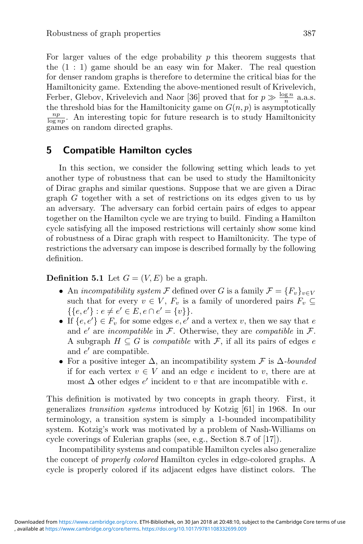For larger values of the edge probability  $p$  this theorem suggests that the  $(1 : 1)$  game should be an easy win for Maker. The real question for denser random graphs is therefore to determine the critical bias for the Hamiltonicity game. Extending the above-mentioned result of Krivelevich, Ferber, Glebov, Krivelevich and Naor [36] proved that for  $p \gg \frac{\log n}{n}$  a.a.s. the threshold bias for the Hamiltonicity game on  $G(n, p)$  is asymptotically  $\frac{np}{\log nn}$ . An interesting topic for future research is to study Hamiltonicity games on random directed graphs.

## **5 Compatible Hamilton cycles**

In this section, we consider the following setting which leads to yet another type of robustness that can be used to study the Hamiltonicity of Dirac graphs and similar questions. Suppose that we are given a Dirac graph G together with a set of restrictions on its edges given to us by an adversary. The adversary can forbid certain pairs of edges to appear together on the Hamilton cycle we are trying to build. Finding a Hamilton cycle satisfying all the imposed restrictions will certainly show some kind of robustness of a Dirac graph with respect to Hamiltonicity. The type of restrictions the adversary can impose is described formally by the following definition.

**Definition 5.1** Let  $G = (V, E)$  be a graph.

- An *incompatibility system*  $\mathcal F$  defined over G is a family  $\mathcal F = \{F_v\}_{v \in V}$ such that for every  $v \in V$ ,  $F_v$  is a family of unordered pairs  $F_v \subseteq$  $\{\{e,e'\}:e\neq e'\in E, e\cap e'=\{v\}\}.$
- If  $\{e, e'\} \in F_v$  for some edges  $e, e'$  and a vertex v, then we say that  $e$ and  $e'$  are *incompatible* in  $\mathcal{F}$ . Otherwise, they are *compatible* in  $\mathcal{F}$ . A subgraph  $H \subseteq G$  is *compatible* with F, if all its pairs of edges e and  $e'$  are compatible.
- For a positive integer  $\Delta$ , an incompatibility system  $\mathcal F$  is  $\Delta$ *-bounded* if for each vertex  $v \in V$  and an edge e incident to v, there are at most  $\Delta$  other edges  $e'$  incident to v that are incompatible with e.

This definition is motivated by two concepts in graph theory. First, it generalizes *transition systems* introduced by Kotzig [61] in 1968. In our terminology, a transition system is simply a 1-bounded incompatibility system. Kotzig's work was motivated by a problem of Nash-Williams on cycle coverings of Eulerian graphs (see, e.g., Section 8.7 of [17]).

Incompatibility systems and compatible Hamilton cycles also generalize the concept of *properly colored* Hamilton cycles in edge-colored graphs. A cycle is properly colored if its adjacent edges have distinct colors. The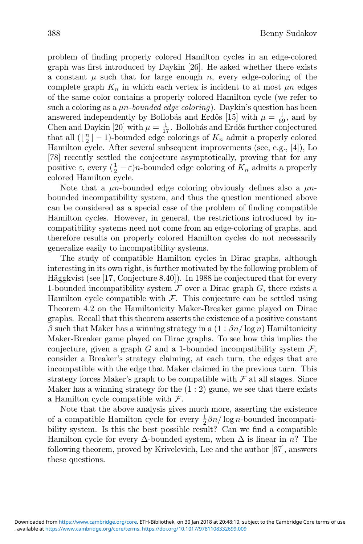such a coloring as a μn*-bounded edge coloring*). Daykin's question has been answered independently by Bollobás and Erdős [15] with  $\mu = \frac{1}{69}$ , and by<br>Chen and Daykin [20] with  $\mu = \frac{1}{17}$ . Bollobás and Erdős further conjectured<br>that all ( $\lfloor \frac{n}{2} \rfloor - 1$ )-bounded edge colorings of  $K_{-}$  ad that all  $(\lfloor \frac{n}{2} \rfloor - 1)$ -bounded edge colorings of  $K_n$  admit a properly colored<br>Hamilton cycle. After several subsequent improvements (see e.g. [4]). Lo Hamilton cycle. After several subsequent improvements (see, e.g., [4]), Lo [78] recently settled the conjecture asymptotically, proving that for any positive  $\varepsilon$ , every  $(\frac{1}{2} - \varepsilon)n$ -bounded edge coloring of  $K_n$  admits a properly colored Hamilton cycle colored Hamilton cycle.

Note that a  $\mu$ n-bounded edge coloring obviously defines also a  $\mu$ nbounded incompatibility system, and thus the question mentioned above can be considered as a special case of the problem of finding compatible Hamilton cycles. However, in general, the restrictions introduced by incompatibility systems need not come from an edge-coloring of graphs, and therefore results on properly colored Hamilton cycles do not necessarily generalize easily to incompatibility systems.

The study of compatible Hamilton cycles in Dirac graphs, although interesting in its own right, is further motivated by the following problem of Häggkvist (see [17, Conjecture 8.40]). In 1988 he conjectured that for every 1-bounded incompatibility system  $\mathcal F$  over a Dirac graph  $G$ , there exists a Hamilton cycle compatible with  $\mathcal F$ . This conjecture can be settled using Theorem 4.2 on the Hamiltonicity Maker-Breaker game played on Dirac graphs. Recall that this theorem asserts the existence of a positive constant  $β$  such that Maker has a winning strategy in a  $(1:βn/\log n)$  Hamiltonicity Maker-Breaker game played on Dirac graphs. To see how this implies the conjecture, given a graph G and a 1-bounded incompatibility system  $\mathcal{F}$ , consider a Breaker's strategy claiming, at each turn, the edges that are incompatible with the edge that Maker claimed in the previous turn. This strategy forces Maker's graph to be compatible with  $\mathcal F$  at all stages. Since Maker has a winning strategy for the  $(1:2)$  game, we see that there exists a Hamilton cycle compatible with  $\mathcal{F}$ .

Note that the above analysis gives much more, asserting the existence of a compatible Hamilton cycle for every  $\frac{1}{2}\beta n/\log n$ -bounded incompatibility system. Is this the best possible result? Can we find a compatible bility system. Is this the best possible result? Can we find a compatible Hamilton cycle for every  $\Delta$ -bounded system, when  $\Delta$  is linear in n? The following theorem, proved by Krivelevich, Lee and the author [67], answers these questions.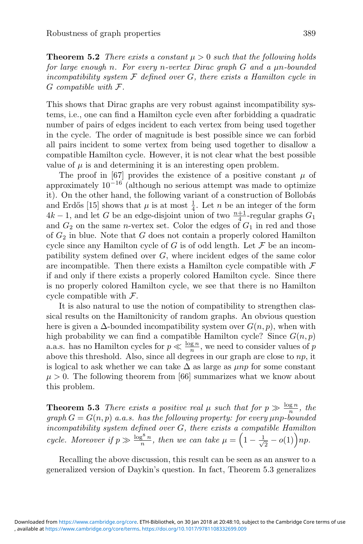**Theorem 5.2** *There exists a constant*  $\mu > 0$  *such that the following holds for large enough* n*. For every* n*-vertex Dirac graph* G *and a* μn*-bounded incompatibility system* F *defined over* G*, there exists a Hamilton cycle in* G *compatible with* F*.*

This shows that Dirac graphs are very robust against incompatibility systems, i.e., one can find a Hamilton cycle even after forbidding a quadratic number of pairs of edges incident to each vertex from being used together in the cycle. The order of magnitude is best possible since we can forbid all pairs incident to some vertex from being used together to disallow a compatible Hamilton cycle. However, it is not clear what the best possible value of  $\mu$  is and determining it is an interesting open problem.

The proof in [67] provides the existence of a positive constant  $\mu$  of approximately  $10^{-16}$  (although no serious attempt was made to optimize it). On the other hand, the following variant of a construction of Bollobás and Erdős [15] shows that  $\mu$  is at most  $\frac{1}{4}$ . Let *n* be an integer of the form  $4k - 1$ , and let *G* be an edge-disjoint union of two  $\frac{n+1}{4}$ -regular graphs  $G_1$  and  $G_2$  on the same *n*-vertex set. Color the and  $G_2$  on the same *n*-vertex set. Color the edges of  $G_1$  in red and those of  $G_2$  in blue. Note that G does not contain a properly colored Hamilton cycle since any Hamilton cycle of G is of odd length. Let  $\mathcal F$  be an incompatibility system defined over G, where incident edges of the same color are incompatible. Then there exists a Hamilton cycle compatible with  $\mathcal F$ if and only if there exists a properly colored Hamilton cycle. Since there is no properly colored Hamilton cycle, we see that there is no Hamilton cycle compatible with  $\mathcal{F}$ .

It is also natural to use the notion of compatibility to strengthen classical results on the Hamiltonicity of random graphs. An obvious question here is given a  $\Delta$ -bounded incompatibility system over  $G(n, p)$ , when with high probability we can find a compatible Hamilton cycle? Since  $G(n, p)$ a.a.s. has no Hamilton cycles for  $p \ll \frac{\log n}{n}$ , we need to consider values of p above this threshold. Also, since all degrees in our graph are close to  $np$ , it is logical to ask whether we can take  $\Delta$  as large as  $\mu np$  for some constant  $\mu > 0$ . The following theorem from [66] summarizes what we know about this problem.

**Theorem 5.3** *There exists a positive real*  $\mu$  *such that for*  $p \gg \frac{\log n}{n}$ *, the*  $graph G = G(n, p)$  *a.a.s.* has the following property: for every  $\mu$ np-bounded *incompatibility system defined over* G*, there exists a compatible Hamilton cycle. Moreover if*  $p \gg \frac{\log^8 n}{n}$ , then we can take  $\mu = \left(1 - \frac{1}{\sqrt{n}}\right)$  $\frac{1}{2} - o(1) \bigg) np.$ 

Recalling the above discussion, this result can be seen as an answer to a generalized version of Daykin's question. In fact, Theorem 5.3 generalizes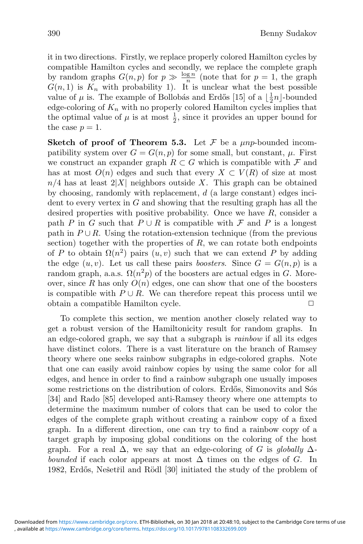it in two directions. Firstly, we replace properly colored Hamilton cycles by compatible Hamilton cycles and secondly, we replace the complete graph by random graphs  $G(n, p)$  for  $p \gg \frac{\log n}{n}$  (note that for  $p = 1$ , the graph  $G(n, 1)$  is  $K_n$  with probability 1). It is unclear what the best possible value of  $\mu$  is. The example of Bollobás and Erdős [15] of a  $\lfloor \frac{1}{2}n \rfloor$ -bounded<br>edge-coloring of  $K_{-}$  with no properly colored Hamilton cycles implies that edge-coloring of  $K_n$  with no properly colored Hamilton cycles implies that the optimal value of  $\mu$  is at most  $\frac{1}{2}$ , since it provides an upper bound for the case  $n = 1$ the case  $p=1$ .

**Sketch of proof of Theorem 5.3.** Let  $\mathcal F$  be a  $\mu np$ -bounded incompatibility system over  $G = G(n, p)$  for some small, but constant,  $\mu$ . First we construct an expander graph  $R \subset G$  which is compatible with  $\mathcal F$  and has at most  $O(n)$  edges and such that every  $X \subset V(R)$  of size at most  $n/4$  has at least  $2|X|$  neighbors outside X. This graph can be obtained by choosing, randomly with replacement, d (a large constant) edges incident to every vertex in  $G$  and showing that the resulting graph has all the desired properties with positive probability. Once we have  $R$ , consider a path P in G such that  $P \cup R$  is compatible with F and P is a longest path in  $P \cup R$ . Using the rotation-extension technique (from the previous section) together with the properties of  $R$ , we can rotate both endpoints of P to obtain  $\Omega(n^2)$  pairs  $(u, v)$  such that we can extend P by adding the edge  $(u, v)$ . Let us call these pairs *boosters*. Since  $G = G(n, p)$  is a random graph, a.a.s.  $\Omega(n^2p)$  of the boosters are actual edges in G. Moreover, since R has only  $O(n)$  edges, one can show that one of the boosters is compatible with  $P \cup R$ . We can therefore repeat this process until we obtain a compatible Hamilton cycle.  $\Box$ 

To complete this section, we mention another closely related way to get a robust version of the Hamiltonicity result for random graphs. In an edge-colored graph, we say that a subgraph is *rainbow* if all its edges have distinct colors. There is a vast literature on the branch of Ramsey theory where one seeks rainbow subgraphs in edge-colored graphs. Note that one can easily avoid rainbow copies by using the same color for all edges, and hence in order to find a rainbow subgraph one usually imposes some restrictions on the distribution of colors. Erdős, Simonovits and Sós [34] and Rado [85] developed anti-Ramsey theory where one attempts to determine the maximum number of colors that can be used to color the edges of the complete graph without creating a rainbow copy of a fixed graph. In a different direction, one can try to find a rainbow copy of a target graph by imposing global conditions on the coloring of the host graph. For a real  $\Delta$ , we say that an edge-coloring of G is *globally*  $\Delta$ *bounded* if each color appears at most  $\Delta$  times on the edges of G. In 1982, Erdős, Nešetřil and Rödl [30] initiated the study of the problem of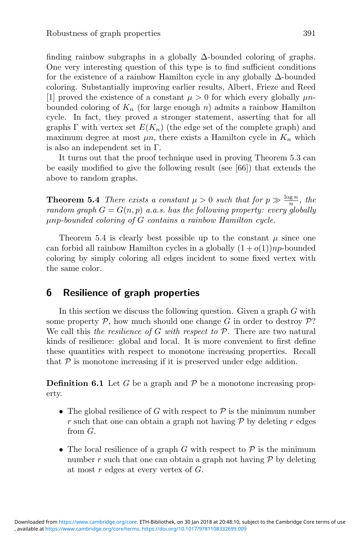finding rainbow subgraphs in a globally  $\Delta$ -bounded coloring of graphs. One very interesting question of this type is to find sufficient conditions for the existence of a rainbow Hamilton cycle in any globally  $\Delta$ -bounded coloring. Substantially improving earlier results, Albert, Frieze and Reed [1] proved the existence of a constant  $\mu > 0$  for which every globally  $\mu n$ bounded coloring of  $K_n$  (for large enough n) admits a rainbow Hamilton cycle. In fact, they proved a stronger statement, asserting that for all graphs  $\Gamma$  with vertex set  $E(K_n)$  (the edge set of the complete graph) and maximum degree at most  $\mu n$ , there exists a Hamilton cycle in  $K_n$  which is also an independent set in Γ.

It turns out that the proof technique used in proving Theorem 5.3 can be easily modified to give the following result (see [66]) that extends the above to random graphs.

**Theorem 5.4** *There exists a constant*  $\mu > 0$  *such that for*  $p \gg \frac{\log n}{n}$ *, the random graph*  $G = G(n, p)$  *a.a.s.* has the following property: every globally μnp*-bounded coloring of* G *contains a rainbow Hamilton cycle.*

Theorem 5.4 is clearly best possible up to the constant  $\mu$  since one can forbid all rainbow Hamilton cycles in a globally  $(1+o(1))np$ -bounded coloring by simply coloring all edges incident to some fixed vertex with the same color.

## **6 Resilience of graph properties**

In this section we discuss the following question. Given a graph  $G$  with some property  $P$ , how much should one change G in order to destroy  $P$ ? We call this *the resilience of* G *with respect to* P. There are two natural kinds of resilience: global and local. It is more convenient to first define these quantities with respect to monotone increasing properties. Recall that  $P$  is monotone increasing if it is preserved under edge addition.

**Definition 6.1** Let G be a graph and  $\mathcal{P}$  be a monotone increasing property.

- The global resilience of G with respect to  $P$  is the minimum number r such that one can obtain a graph not having  $\mathcal P$  by deleting r edges from G.
- The local resilience of a graph G with respect to  $P$  is the minimum number r such that one can obtain a graph not having  $P$  by deleting at most  $r$  edges at every vertex of  $G$ .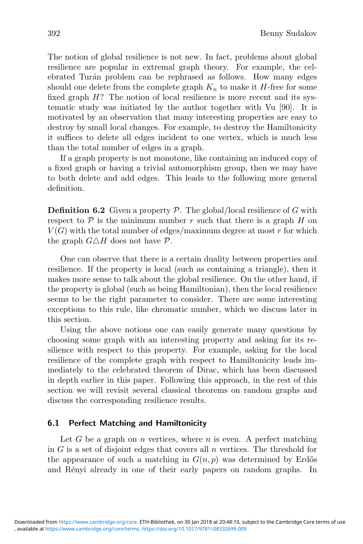The notion of global resilience is not new. In fact, problems about global resilience are popular in extremal graph theory. For example, the celebrated Turán problem can be rephrased as follows. How many edges should one delete from the complete graph  $K_n$  to make it  $H$ -free for some fixed graph  $H$ ? The notion of local resilience is more recent and its systematic study was initiated by the author together with Vu [90]. It is motivated by an observation that many interesting properties are easy to destroy by small local changes. For example, to destroy the Hamiltonicity it suffices to delete all edges incident to one vertex, which is much less than the total number of edges in a graph.

If a graph property is not monotone, like containing an induced copy of a fixed graph or having a trivial automorphism group, then we may have to both delete and add edges. This leads to the following more general definition.

**Definition 6.2** Given a property  $P$ . The global/local resilience of G with respect to  $P$  is the minimum number r such that there is a graph H on  $V(G)$  with the total number of edges/maximum degree at most r for which the graph  $G \triangle H$  does not have  $P$ .

One can observe that there is a certain duality between properties and resilience. If the property is local (such as containing a triangle), then it makes more sense to talk about the global resilience. On the other hand, if the property is global (such as being Hamiltonian), then the local resilience seems to be the right parameter to consider. There are some interesting exceptions to this rule, like chromatic number, which we discuss later in this section.

Using the above notions one can easily generate many questions by choosing some graph with an interesting property and asking for its resilience with respect to this property. For example, asking for the local resilience of the complete graph with respect to Hamiltonicity leads immediately to the celebrated theorem of Dirac, which has been discussed in depth earlier in this paper. Following this approach, in the rest of this section we will revisit several classical theorems on random graphs and discuss the corresponding resilience results.

### **6.1 Perfect Matching and Hamiltonicity**

Let G be a graph on n vertices, where n is even. A perfect matching in  $G$  is a set of disjoint edges that covers all  $n$  vertices. The threshold for the appearance of such a matching in  $G(n, p)$  was determined by Erdős and Rényi already in one of their early papers on random graphs. In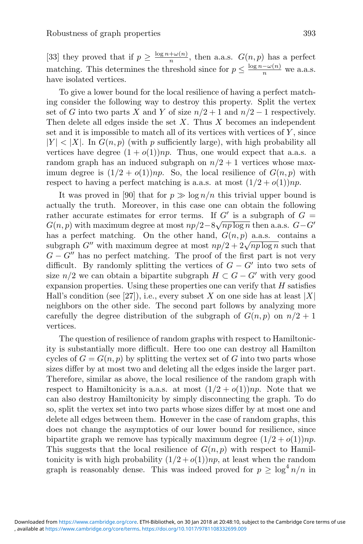[33] they proved that if  $p \geq \frac{\log n + \omega(n)}{n}$ , then a.a.s.  $G(n, p)$  has a perfect matching. This determines the threshold since for  $p \leq \frac{\log n - \omega(n)}{n}$  we a.a.s. have isolated vertices.

To give a lower bound for the local resilience of having a perfect matching consider the following way to destroy this property. Split the vertex set of G into two parts X and Y of size  $n/2 + 1$  and  $n/2 - 1$  respectively. Then delete all edges inside the set  $X$ . Thus  $X$  becomes an independent set and it is impossible to match all of its vertices with vertices of  $Y$ , since  $|Y| < |X|$ . In  $G(n, p)$  (with p sufficiently large), with high probability all vertices have degree  $(1 + o(1))np$ . Thus, one would expect that a.a.s. a random graph has an induced subgraph on  $n/2 + 1$  vertices whose maximum degree is  $(1/2 + o(1))np$ . So, the local resilience of  $G(n, p)$  with respect to having a perfect matching is a.a.s. at most  $(1/2 + o(1))np$ .

It was proved in [90] that for  $p \gg \log n/n$  this trivial upper bound is actually the truth. Moreover, in this case one can obtain the following rather accurate estimates for error terms. If  $G'$  is a subgraph of  $G =$ Father accurate estimates for error terms. If  $G$  is a subgraph of  $G = G(n, p)$  with maximum degree at most  $np/2 - 8\sqrt{np \log n}$  then a.a.s.  $G - G'$ has a perfect matching. On the other hand,  $G(n, p)$  a.a.s. contains a as a perfect matching. On the other hand,  $G(n, p)$  a.a.s. contains a subgraph G'' with maximum degree at most  $np/2 + 2\sqrt{np \log n}$  such that  $G - G''$  has no perfect matching. The proof of the first part is not very difficult. By randomly splitting the vertices of  $G - G'$  into two sets of size  $n/2$  we can obtain a bipartite subgraph  $H \subset G - G'$  with very good expansion properties. Using these properties one can verify that  $H$  satisfies Hall's condition (see [27]), i.e., every subset X on one side has at least  $|X|$ neighbors on the other side. The second part follows by analyzing more carefully the degree distribution of the subgraph of  $G(n, p)$  on  $n/2 + 1$ vertices.

The question of resilience of random graphs with respect to Hamiltonicity is substantially more difficult. Here too one can destroy all Hamilton cycles of  $G = G(n, p)$  by splitting the vertex set of G into two parts whose sizes differ by at most two and deleting all the edges inside the larger part. Therefore, similar as above, the local resilience of the random graph with respect to Hamiltonicity is a.a.s. at most  $(1/2 + o(1))np$ . Note that we can also destroy Hamiltonicity by simply disconnecting the graph. To do so, split the vertex set into two parts whose sizes differ by at most one and delete all edges between them. However in the case of random graphs, this does not change the asymptotics of our lower bound for resilience, since bipartite graph we remove has typically maximum degree  $(1/2 + o(1))np$ . This suggests that the local resilience of  $G(n, p)$  with respect to Hamiltonicity is with high probability  $(1/2 + o(1))np$ , at least when the random graph is reasonably dense. This was indeed proved for  $p > \log^4 n/n$  in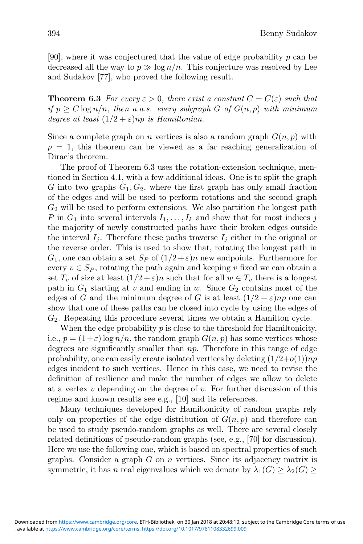[90], where it was conjectured that the value of edge probability p can be decreased all the way to  $p \gg \log n/n$ . This conjecture was resolved by Lee and Sudakov [77], who proved the following result.

**Theorem 6.3** *For every*  $\varepsilon > 0$ *, there exist a constant*  $C = C(\varepsilon)$  *such that if*  $p \ge C \log n/n$ *, then a.a.s. every subgraph* G *of*  $G(n, p)$  *with minimum degree at least*  $(1/2 + \varepsilon)$ *np is Hamiltonian.* 

Since a complete graph on *n* vertices is also a random graph  $G(n, p)$  with  $p = 1$ , this theorem can be viewed as a far reaching generalization of Dirac's theorem.

The proof of Theorem 6.3 uses the rotation-extension technique, mentioned in Section 4.1, with a few additional ideas. One is to split the graph G into two graphs  $G_1, G_2$ , where the first graph has only small fraction of the edges and will be used to perform rotations and the second graph  $G<sub>2</sub>$  will be used to perform extensions. We also partition the longest path P in  $G_1$  into several intervals  $I_1, \ldots, I_k$  and show that for most indices j the majority of newly constructed paths have their broken edges outside the interval  $I_i$ . Therefore these paths traverse  $I_i$  either in the original or the reverse order. This is used to show that, rotating the longest path in  $G_1$ , one can obtain a set  $S_P$  of  $(1/2 + \varepsilon)n$  new endpoints. Furthermore for every  $v \in S_p$ , rotating the path again and keeping v fixed we can obtain a set  $T_v$  of size at least  $(1/2 + \varepsilon)n$  such that for all  $w \in T_v$  there is a longest path in  $G_1$  starting at v and ending in w. Since  $G_2$  contains most of the edges of G and the minimum degree of G is at least  $(1/2 + \varepsilon)np$  one can show that one of these paths can be closed into cycle by using the edges of  $G<sub>2</sub>$ . Repeating this procedure several times we obtain a Hamilton cycle.

When the edge probability  $p$  is close to the threshold for Hamiltonicity, i.e.,  $p = (1+\varepsilon) \log n/n$ , the random graph  $G(n, p)$  has some vertices whose degrees are significantly smaller than np. Therefore in this range of edge probability, one can easily create isolated vertices by deleting  $(1/2+o(1))np$ edges incident to such vertices. Hence in this case, we need to revise the definition of resilience and make the number of edges we allow to delete at a vertex  $v$  depending on the degree of  $v$ . For further discussion of this regime and known results see e.g., [10] and its references.

Many techniques developed for Hamiltonicity of random graphs rely only on properties of the edge distribution of  $G(n, p)$  and therefore can be used to study pseudo-random graphs as well. There are several closely related definitions of pseudo-random graphs (see, e.g., [70] for discussion). Here we use the following one, which is based on spectral properties of such graphs. Consider a graph  $G$  on  $n$  vertices. Since its adjacency matrix is symmetric, it has n real eigenvalues which we denote by  $\lambda_1(G) \geq \lambda_2(G)$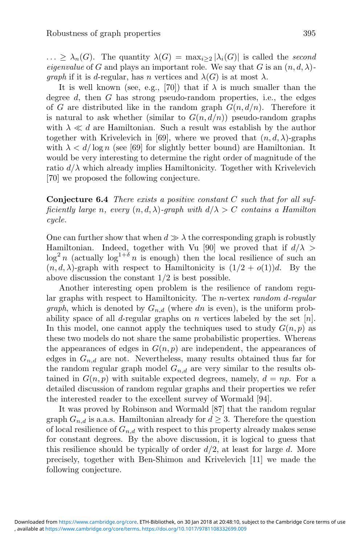$\ldots \geq \lambda_n(G)$ . The quantity  $\lambda(G) = \max_{i>2} |\lambda_i(G)|$  is called the *second eigenvalue* of G and plays an important role. We say that G is an  $(n, d, \lambda)$ *graph* if it is d-regular, has n vertices and  $\lambda(G)$  is at most  $\lambda$ .

It is well known (see, e.g., [70]) that if  $\lambda$  is much smaller than the degree  $d$ , then  $G$  has strong pseudo-random properties, i.e., the edges of G are distributed like in the random graph  $G(n, d/n)$ . Therefore it is natural to ask whether (similar to  $G(n, d/n)$ ) pseudo-random graphs with  $\lambda \ll d$  are Hamiltonian. Such a result was establish by the author together with Krivelevich in [69], where we proved that  $(n, d, \lambda)$ -graphs with  $\lambda < d/\log n$  (see [69] for slightly better bound) are Hamiltonian. It would be very interesting to determine the right order of magnitude of the ratio  $d/\lambda$  which already implies Hamiltonicity. Together with Krivelevich [70] we proposed the following conjecture.

**Conjecture 6.4** *There exists a positive constant* C *such that for all sufficiently large n, every*  $(n, d, \lambda)$ *-graph with*  $d/\lambda > C$  *contains a Hamilton cycle.*

One can further show that when  $d \gg \lambda$  the corresponding graph is robustly Hamiltonian. Indeed, together with Vu [90] we proved that if  $d/\lambda$  $\log^2 n$  (actually  $\log^{1+\delta} n$  is enough) then the local resilience of such an  $(n, d, \lambda)$ -graph with respect to Hamiltonicity is  $(1/2 + o(1))d$ . By the above discussion the constant 1/2 is best possible.

Another interesting open problem is the resilience of random regular graphs with respect to Hamiltonicity. The n-vertex *random* d*-regular graph*, which is denoted by  $G_{n,d}$  (where dn is even), is the uniform probability space of all d-regular graphs on n vertices labeled by the set  $[n]$ . In this model, one cannot apply the techniques used to study  $G(n, p)$  as these two models do not share the same probabilistic properties. Whereas the appearances of edges in  $G(n, p)$  are independent, the appearances of edges in  $G_{n,d}$  are not. Nevertheless, many results obtained thus far for the random regular graph model  $G_{n,d}$  are very similar to the results obtained in  $G(n, p)$  with suitable expected degrees, namely,  $d = np$ . For a detailed discussion of random regular graphs and their properties we refer the interested reader to the excellent survey of Wormald [94].

It was proved by Robinson and Wormald [87] that the random regular graph  $G_{n,d}$  is a.a.s. Hamiltonian already for  $d \geq 3$ . Therefore the question of local resilience of  $G_{n,d}$  with respect to this property already makes sense for constant degrees. By the above discussion, it is logical to guess that this resilience should be typically of order  $d/2$ , at least for large d. More precisely, together with Ben-Shimon and Krivelevich [11] we made the following conjecture.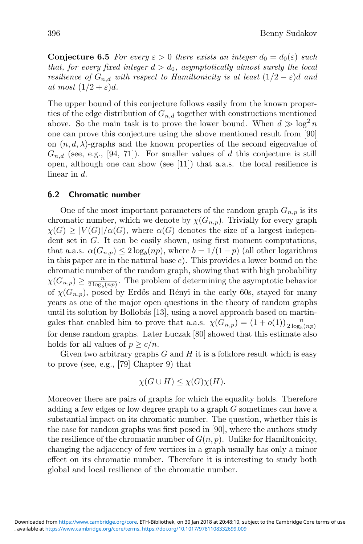**Conjecture 6.5** *For every*  $\varepsilon > 0$  *there exists an integer*  $d_0 = d_0(\varepsilon)$  *such that, for every fixed integer*  $d > d_0$ *, asymptotically almost surely the local resilience of*  $G_{n,d}$  *with respect to Hamiltonicity is at least*  $(1/2 - \varepsilon)d$  *and at most*  $(1/2 + \varepsilon)d$ .

The upper bound of this conjecture follows easily from the known properties of the edge distribution of  $G_{n,d}$  together with constructions mentioned above. So the main task is to prove the lower bound. When  $d \gg \log^2 n$ one can prove this conjecture using the above mentioned result from [90] on  $(n, d, \lambda)$ -graphs and the known properties of the second eigenvalue of  $G_{n,d}$  (see, e.g., [94, 71]). For smaller values of d this conjecture is still open, although one can show (see [11]) that a.a.s. the local resilience is linear in d.

### **6.2 Chromatic number**

One of the most important parameters of the random graph  $G_{n,p}$  is its chromatic number, which we denote by  $\chi(G_{n,p})$ . Trivially for every graph  $\chi(G) \geq |V(G)|/\alpha(G)$ , where  $\alpha(G)$  denotes the size of a largest independent set in G. It can be easily shown, using first moment computations, that a.a.s.  $\alpha(G_{n,p}) \leq 2 \log_b(np)$ , where  $b = 1/(1-p)$  (all other logarithms in this paper are in the natural base  $e$ ). This provides a lower bound on the chromatic number of the random graph, showing that with high probability  $\chi(G_{n,p}) \geq \frac{n}{2 \log(np)}$ . The problem of determining the asymptotic behavior of  $\chi(G_{n,p})$ , posed by Erdős and Rényi in the early 60s, stayed for many years as one of the major open questions in the theory of random graphs until its solution by Bollobás  $[13]$ , using a novel approach based on martingales that enabled him to prove that a.a.s.  $\chi(G_{n,p}) = (1+o(1)) \frac{n}{2 \log_p(np)}$ <br>for dense random graphs. Later Luggels [80] showed that this estimate also for dense random graphs. Later Luczak [80] showed that this estimate also holds for all values of  $p \geq c/n$ .

Given two arbitrary graphs  $G$  and  $H$  it is a folklore result which is easy to prove (see, e.g., [79] Chapter 9) that

$$
\chi(G \cup H) \le \chi(G)\chi(H).
$$

Moreover there are pairs of graphs for which the equality holds. Therefore adding a few edges or low degree graph to a graph  $G$  sometimes can have a substantial impact on its chromatic number. The question, whether this is the case for random graphs was first posed in [90], where the authors study the resilience of the chromatic number of  $G(n, p)$ . Unlike for Hamiltonicity, changing the adjacency of few vertices in a graph usually has only a minor effect on its chromatic number. Therefore it is interesting to study both global and local resilience of the chromatic number.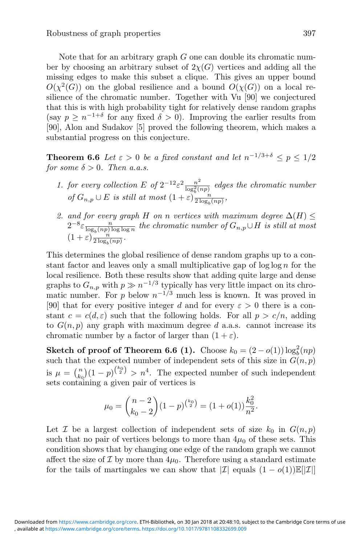Note that for an arbitrary graph  $G$  one can double its chromatic number by choosing an arbitrary subset of  $2\chi(G)$  vertices and adding all the missing edges to make this subset a clique. This gives an upper bound  $O(\chi^2(G))$  on the global resilience and a bound  $O(\chi(G))$  on a local resilience of the chromatic number. Together with Vu [90] we conjectured that this is with high probability tight for relatively dense random graphs (say  $p \geq n^{-1+\delta}$  for any fixed  $\delta > 0$ ). Improving the earlier results from [90], Alon and Sudakov [5] proved the following theorem, which makes a substantial progress on this conjecture.

**Theorem 6.6** *Let*  $\varepsilon > 0$  *be a fixed constant and let*  $n^{-1/3+\delta} < p < 1/2$ *for some*  $\delta > 0$ *. Then a.a.s.* 

- *1. for every collection*  $E$  *of*  $2^{-12} \varepsilon^2 \frac{n^2}{\log_b^2(np)}$  *edges the chromatic number of*  $G_{n,p} \cup E$  *is still at most*  $(1+\varepsilon) \frac{n}{2 \log_b(np)}$ *,*
- *2. and for every graph* H *on n vertices with maximum degree*  $\Delta(H) \leq$  $2^{-8} \varepsilon \frac{n}{\log_b(np) \log \log n}$  the chromatic number of  $G_{n,p} \cup H$  is still at most  $(1+\varepsilon) \frac{n}{2 \log_b(np)}$ .

This determines the global resilience of dense random graphs up to a constant factor and leaves only a small multiplicative gap of  $\log \log n$  for the local resilience. Both these results show that adding quite large and dense graphs to  $G_{n,p}$  with  $p \gg n^{-1/3}$  typically has very little impact on its chromatic number. For p below  $n^{-1/3}$  much less is known. It was proved in [90] that for every positive integer d and for every  $\varepsilon > 0$  there is a constant  $c = c(d, \varepsilon)$  such that the following holds. For all  $p > c/n$ , adding to  $G(n, p)$  any graph with maximum degree d a.a.s. cannot increase its chromatic number by a factor of larger than  $(1 + \varepsilon)$ .

**Sketch of proof of Theorem 6.6 (1).** Choose  $k_0 = (2 - o(1)) \log_b^2(np)$ such that the expected number of independent sets of this size in  $G(n, p)$ is  $\mu = \binom{n}{k_0} (1-p)^{\binom{k_0}{2}} > n^4$ . The expected number of such independent sets containing a given pair of vertices is

$$
\mu_0 = {n-2 \choose k_0-2} (1-p)^{{k_0 \choose 2}} = (1+o(1))\frac{k_0^2}{n^2}.
$$

Let  $\mathcal I$  be a largest collection of independent sets of size  $k_0$  in  $G(n, p)$ such that no pair of vertices belongs to more than  $4\mu_0$  of these sets. This condition shows that by changing one edge of the random graph we cannot affect the size of  $\mathcal I$  by more than  $4\mu_0$ . Therefore using a standard estimate for the tails of martingales we can show that  $|\mathcal{I}|$  equals  $(1 - o(1))\mathbb{E}||\mathcal{I}||$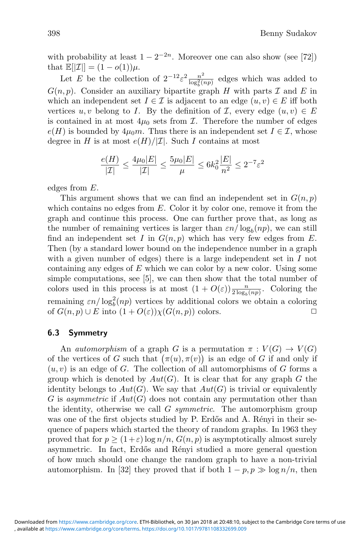with probability at least  $1 - 2^{-2n}$ . Moreover one can also show (see [72]) that  $\mathbb{E}[|\mathcal{I}|] = (1 - o(1))\mu$ .

Let E be the collection of  $2^{-12} \varepsilon^2 \frac{n^2}{\log_b^2(np)}$  edges which was added to  $G(n, p)$ . Consider an auxiliary bipartite graph H with parts  $\mathcal I$  and E in which an independent set  $I \in \mathcal{I}$  is adjacent to an edge  $(u, v) \in E$  iff both vertices  $u, v$  belong to I. By the definition of I, every edge  $(u, v) \in E$ is contained in at most  $4\mu_0$  sets from  $\mathcal{I}$ . Therefore the number of edges  $e(H)$  is bounded by  $4\mu_0 m$ . Thus there is an independent set  $I \in \mathcal{I}$ , whose degree in H is at most  $e(H)/|\mathcal{I}|$ . Such I contains at most

$$
\frac{e(H)}{|\mathcal{I}|} \le \frac{4\mu_0|E|}{|\mathcal{I}|} \le \frac{5\mu_0|E|}{\mu} \le 6k_0^2 \frac{|E|}{n^2} \le 2^{-7}\varepsilon^2
$$

edges from E.

This argument shows that we can find an independent set in  $G(n, p)$ which contains no edges from  $E$ . Color it by color one, remove it from the graph and continue this process. One can further prove that, as long as the number of remaining vertices is larger than  $\varepsilon n / \log_b(np)$ , we can still find an independent set I in  $G(n, p)$  which has very few edges from E. Then (by a standard lower bound on the independence number in a graph with a given number of edges) there is a large independent set in  $I$  not containing any edges of  $E$  which we can color by a new color. Using some simple computations, see [5], we can then show that the total number of colors used in this process is at most  $(1 + O(\varepsilon)) \frac{n}{2 \log_b(np)}$ . Coloring the remaining  $\varepsilon n/\log_b^2(np)$  vertices by additional colors we obtain a coloring of  $G(n, p) \cup E$  into  $(1 + O(\varepsilon))\chi(G(n, p))$  colors.

### **6.3 Symmetry**

An *automorphism* of a graph G is a permutation  $\pi : V(G) \to V(G)$ of the vertices of G such that  $(\pi(u), \pi(v))$  is an edge of G if and only if  $(u, v)$  is an edge of G. The collection of all automorphisms of G forms a group which is denoted by  $Aut(G)$ . It is clear that for any graph G the identity belongs to  $Aut(G)$ . We say that  $Aut(G)$  is trivial or equivalently G is *asymmetric* if  $Aut(G)$  does not contain any permutation other than the identity, otherwise we call G *symmetric*. The automorphism group was one of the first objects studied by P. Erdős and A. Rényi in their sequence of papers which started the theory of random graphs. In 1963 they proved that for  $p \ge (1+\varepsilon) \log n/n$ ,  $G(n, p)$  is asymptotically almost surely asymmetric. In fact, Erdős and Rényi studied a more general question of how much should one change the random graph to have a non-trivial automorphism. In [32] they proved that if both  $1 - p, p \gg \log n/n$ , then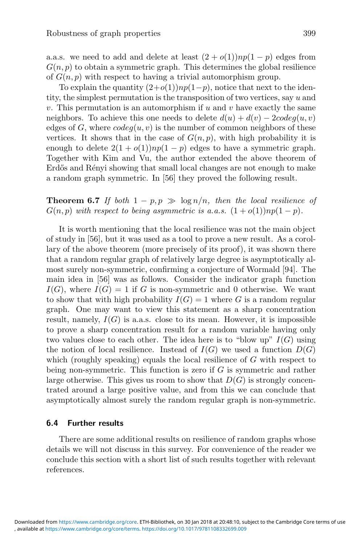a.a.s. we need to add and delete at least  $(2 + o(1))np(1 - p)$  edges from  $G(n, p)$  to obtain a symmetric graph. This determines the global resilience of  $G(n, p)$  with respect to having a trivial automorphism group.

To explain the quantity  $(2+o(1))np(1-p)$ , notice that next to the identity, the simplest permutation is the transposition of two vertices, say u and v. This permutation is an automorphism if  $u$  and  $v$  have exactly the same neighbors. To achieve this one needs to delete  $d(u) + d(v) - 2codeq(u, v)$ edges of G, where  $codeq(u, v)$  is the number of common neighbors of these vertices. It shows that in the case of  $G(n, p)$ , with high probability it is enough to delete  $2(1+o(1))np(1-p)$  edges to have a symmetric graph. Together with Kim and Vu, the author extended the above theorem of Erdős and Rényi showing that small local changes are not enough to make a random graph symmetric. In [56] they proved the following result.

**Theorem 6.7** *If both*  $1 - p, p \gg \log n/n$ , then the local resilience of  $G(n, p)$  *with respect to being asymmetric is a.a.s.*  $(1 + o(1))np(1 - p)$ .

It is worth mentioning that the local resilience was not the main object of study in [56], but it was used as a tool to prove a new result. As a corollary of the above theorem (more precisely of its proof), it was shown there that a random regular graph of relatively large degree is asymptotically almost surely non-symmetric, confirming a conjecture of Wormald [94]. The main idea in [56] was as follows. Consider the indicator graph function  $I(G)$ , where  $I(G) = 1$  if G is non-symmetric and 0 otherwise. We want to show that with high probability  $I(G) = 1$  where G is a random regular graph. One may want to view this statement as a sharp concentration result, namely,  $I(G)$  is a.a.s. close to its mean. However, it is impossible to prove a sharp concentration result for a random variable having only two values close to each other. The idea here is to "blow up"  $I(G)$  using the notion of local resilience. Instead of  $I(G)$  we used a function  $D(G)$ which (roughly speaking) equals the local resilience of  $G$  with respect to being non-symmetric. This function is zero if  $G$  is symmetric and rather large otherwise. This gives us room to show that  $D(G)$  is strongly concentrated around a large positive value, and from this we can conclude that asymptotically almost surely the random regular graph is non-symmetric.

### **6.4 Further results**

There are some additional results on resilience of random graphs whose details we will not discuss in this survey. For convenience of the reader we conclude this section with a short list of such results together with relevant references.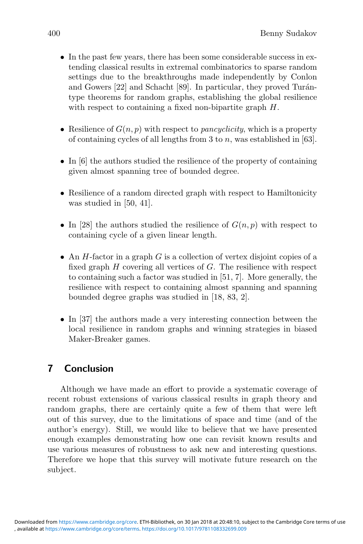- In the past few years, there has been some considerable success in extending classical results in extremal combinatorics to sparse random settings due to the breakthroughs made independently by Conlon and Gowers  $[22]$  and Schacht  $[89]$ . In particular, they proved Turántype theorems for random graphs, establishing the global resilience with respect to containing a fixed non-bipartite graph  $H$ .
- Resilience of  $G(n, p)$  with respect to *pancyclicity*, which is a property of containing cycles of all lengths from 3 to n, was established in  $[63]$ .
- In [6] the authors studied the resilience of the property of containing given almost spanning tree of bounded degree.
- Resilience of a random directed graph with respect to Hamiltonicity was studied in [50, 41].
- In [28] the authors studied the resilience of  $G(n, p)$  with respect to containing cycle of a given linear length.
- An  $H$ -factor in a graph  $G$  is a collection of vertex disjoint copies of a fixed graph  $H$  covering all vertices of  $G$ . The resilience with respect to containing such a factor was studied in [51, 7]. More generally, the resilience with respect to containing almost spanning and spanning bounded degree graphs was studied in [18, 83, 2].
- In [37] the authors made a very interesting connection between the local resilience in random graphs and winning strategies in biased Maker-Breaker games.

# **7 Conclusion**

Although we have made an effort to provide a systematic coverage of recent robust extensions of various classical results in graph theory and random graphs, there are certainly quite a few of them that were left out of this survey, due to the limitations of space and time (and of the author's energy). Still, we would like to believe that we have presented enough examples demonstrating how one can revisit known results and use various measures of robustness to ask new and interesting questions. Therefore we hope that this survey will motivate future research on the subject.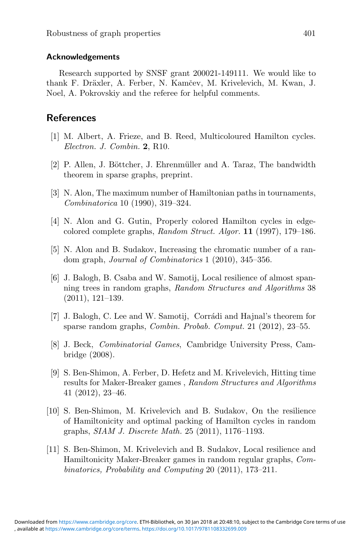### **Acknowledgements**

Research supported by SNSF grant 200021-149111. We would like to thank F. Dräxler, A. Ferber, N. Kamčev, M. Krivelevich, M. Kwan, J. Noel, A. Pokrovskiy and the referee for helpful comments.

## **References**

- [1] M. Albert, A. Frieze, and B. Reed, Multicoloured Hamilton cycles. *Electron. J. Combin.* **2**, R10.
- [2] P. Allen, J. Böttcher, J. Ehrenmüller and A. Taraz, The bandwidth theorem in sparse graphs, preprint.
- [3] N. Alon, The maximum number of Hamiltonian paths in tournaments, *Combinatorica* 10 (1990), 319–324.
- [4] N. Alon and G. Gutin, Properly colored Hamilton cycles in edgecolored complete graphs, *Random Struct. Algor.* **11** (1997), 179–186.
- [5] N. Alon and B. Sudakov, Increasing the chromatic number of a random graph, *Journal of Combinatorics* 1 (2010), 345–356.
- [6] J. Balogh, B. Csaba and W. Samotij, Local resilience of almost spanning trees in random graphs, *Random Structures and Algorithms* 38 (2011), 121–139.
- [7] J. Balogh, C. Lee and W. Samotij, Corrádi and Hajnal's theorem for sparse random graphs, *Combin. Probab. Comput.* 21 (2012), 23–55.
- [8] J. Beck, *Combinatorial Games*, Cambridge University Press, Cambridge (2008).
- [9] S. Ben-Shimon, A. Ferber, D. Hefetz and M. Krivelevich, Hitting time results for Maker-Breaker games , *Random Structures and Algorithms* 41 (2012), 23–46.
- [10] S. Ben-Shimon, M. Krivelevich and B. Sudakov, On the resilience of Hamiltonicity and optimal packing of Hamilton cycles in random graphs, *SIAM J. Discrete Math.* 25 (2011), 1176–1193.
- [11] S. Ben-Shimon, M. Krivelevich and B. Sudakov, Local resilience and Hamiltonicity Maker-Breaker games in random regular graphs, *Combinatorics, Probability and Computing* 20 (2011), 173–211.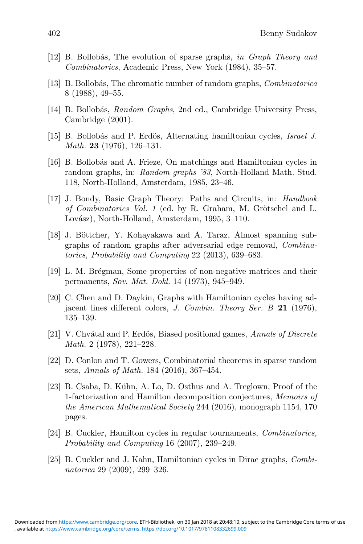- [12] B. Bollob´as, The evolution of sparse graphs, *in Graph Theory and Combinatorics*, Academic Press, New York (1984), 35–57.
- [13] B. Bollob´as, The chromatic number of random graphs, *Combinatorica* 8 (1988), 49–55.
- [14] B. Bollob´as, *Random Graphs*, 2nd ed., Cambridge University Press, Cambridge (2001).
- [15] B. Bollob´as and P. Erd¨os, Alternating hamiltonian cycles, *Israel J. Math.* **23** (1976), 126–131.
- [16] B. Bollobás and A. Frieze, On matchings and Hamiltonian cycles in random graphs, in: *Random graphs '83*, North-Holland Math. Stud. 118, North-Holland, Amsterdam, 1985, 23–46.
- [17] J. Bondy, Basic Graph Theory: Paths and Circuits, in: *Handbook of Combinatorics Vol. 1* (ed. by R. Graham, M. Grötschel and L. Lovász), North-Holland, Amsterdam, 1995, 3-110.
- [18] J. Böttcher, Y. Kohayakawa and A. Taraz, Almost spanning subgraphs of random graphs after adversarial edge removal, *Combinatorics, Probability and Computing* 22 (2013), 639–683.
- [19] L. M. Brégman, Some properties of non-negative matrices and their permanents, *Sov. Mat. Dokl.* 14 (1973), 945–949.
- [20] C. Chen and D. Daykin, Graphs with Hamiltonian cycles having adjacent lines different colors, *J. Combin. Theory Ser. B* **21** (1976), 135–139.
- [21] V. Chv´atal and P. Erd˝os, Biased positional games, *Annals of Discrete Math.* 2 (1978), 221–228.
- [22] D. Conlon and T. Gowers, Combinatorial theorems in sparse random sets, *Annals of Math.* 184 (2016), 367–454.
- [23] B. Csaba, D. Kühn, A. Lo, D. Osthus and A. Treglown, Proof of the 1-factorization and Hamilton decomposition conjectures, *Memoirs of the American Mathematical Society* 244 (2016), monograph 1154, 170 pages.
- [24] B. Cuckler, Hamilton cycles in regular tournaments, *Combinatorics, Probability and Computing* 16 (2007), 239–249.
- [25] B. Cuckler and J. Kahn, Hamiltonian cycles in Dirac graphs, *Combinatorica* 29 (2009), 299–326.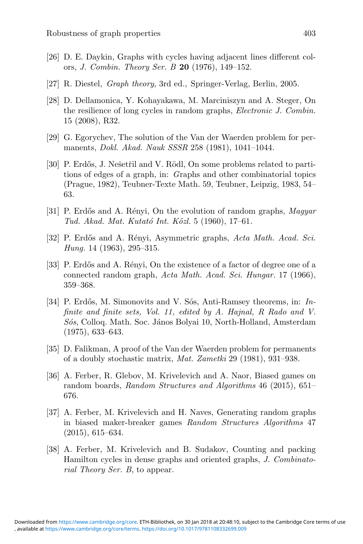- [26] D. E. Daykin, Graphs with cycles having adjacent lines different colors, *J. Combin. Theory Ser. B* **20** (1976), 149–152.
- [27] R. Diestel, *Graph theory*, 3rd ed., Springer-Verlag, Berlin, 2005.
- [28] D. Dellamonica, Y. Kohayakawa, M. Marciniszyn and A. Steger, On the resilience of long cycles in random graphs, *Electronic J. Combin.* 15 (2008), R32.
- [29] G. Egorychev, The solution of the Van der Waerden problem for permanents, *Dokl. Akad. Nauk SSSR* 258 (1981), 1041–1044.
- [30] P. Erdős, J. Nešetřil and V. Rödl, On some problems related to partitions of edges of a graph, in: *G*raphs and other combinatorial topics (Prague, 1982), Teubner-Texte Math. 59, Teubner, Leipzig, 1983, 54– 63.
- [31] P. Erd˝os and A. R´enyi, On the evolution of random graphs, *Magyar Tud. Akad. Mat. Kutat´o Int. K¨ozl.* 5 (1960), 17–61.
- [32] P. Erd˝os and A. R´enyi, Asymmetric graphs, *Acta Math. Acad. Sci. Hung.* 14 (1963), 295–315.
- [33] P. Erdős and A. Rényi, On the existence of a factor of degree one of a connected random graph, *Acta Math. Acad. Sci. Hungar.* 17 (1966), 359–368.
- [34] P. Erdős, M. Simonovits and V. Sós, Anti-Ramsey theorems, in: *Infinite and finite sets, Vol. 11, edited by A. Hajnal, R Rado and V. S´os*, Colloq. Math. Soc. J´anos Bolyai 10, North-Holland, Amsterdam (1975), 633–643.
- [35] D. Falikman, A proof of the Van der Waerden problem for permanents of a doubly stochastic matrix, *Mat. Zametki* 29 (1981), 931–938.
- [36] A. Ferber, R. Glebov, M. Krivelevich and A. Naor, Biased games on random boards, *Random Structures and Algorithms* 46 (2015), 651– 676.
- [37] A. Ferber, M. Krivelevich and H. Naves, Generating random graphs in biased maker-breaker games *Random Structures Algorithms* 47 (2015), 615–634.
- [38] A. Ferber, M. Krivelevich and B. Sudakov, Counting and packing Hamilton cycles in dense graphs and oriented graphs, *J. Combinatorial Theory Ser. B*, to appear.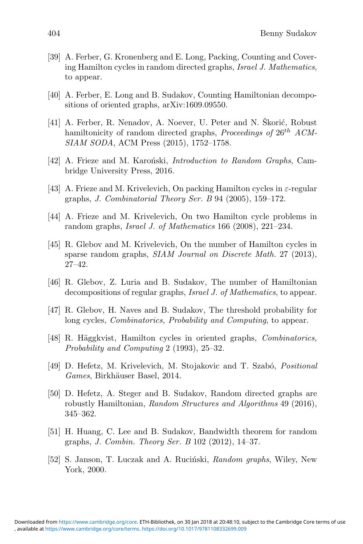- [39] A. Ferber, G. Kronenberg and E. Long, Packing, Counting and Covering Hamilton cycles in random directed graphs, *Israel J. Mathematics*, to appear.
- [40] A. Ferber, E. Long and B. Sudakov, Counting Hamiltonian decompositions of oriented graphs, arXiv:1609.09550.
- [41] A. Ferber, R. Nenadov, A. Noever, U. Peter and N. Škorić, Robust hamiltonicity of random directed graphs, *Proceedings of*  $26^{th}$  *ACM*-*SIAM SODA*, ACM Press (2015), 1752–1758.
- [42] A. Frieze and M. Karo´nski, *Introduction to Random Graphs*, Cambridge University Press, 2016.
- [43] A. Frieze and M. Krivelevich, On packing Hamilton cycles in  $\varepsilon$ -regular graphs, *J. Combinatorial Theory Ser. B* 94 (2005), 159–172.
- [44] A. Frieze and M. Krivelevich, On two Hamilton cycle problems in random graphs, *Israel J. of Mathematics* 166 (2008), 221–234.
- [45] R. Glebov and M. Krivelevich, On the number of Hamilton cycles in sparse random graphs, *SIAM Journal on Discrete Math.* 27 (2013), 27–42.
- [46] R. Glebov, Z. Luria and B. Sudakov, The number of Hamiltonian decompositions of regular graphs, *Israel J. of Mathematics*, to appear.
- [47] R. Glebov, H. Naves and B. Sudakov, The threshold probability for long cycles, *Combinatorics, Probability and Computing*, to appear.
- [48] R. Häggkvist, Hamilton cycles in oriented graphs, *Combinatorics*, *Probability and Computing* 2 (1993), 25–32.
- [49] D. Hefetz, M. Krivelevich, M. Stojakovic and T. Szabó, *Positional Games*, Birkhäuser Basel, 2014.
- [50] D. Hefetz, A. Steger and B. Sudakov, Random directed graphs are robustly Hamiltonian, *Random Structures and Algorithms* 49 (2016), 345–362.
- [51] H. Huang, C. Lee and B. Sudakov, Bandwidth theorem for random graphs, *J. Combin. Theory Ser. B* 102 (2012), 14–37.
- [52] S. Janson, T. Luczak and A. Ruciński, *Random graphs*, Wiley, New York, 2000.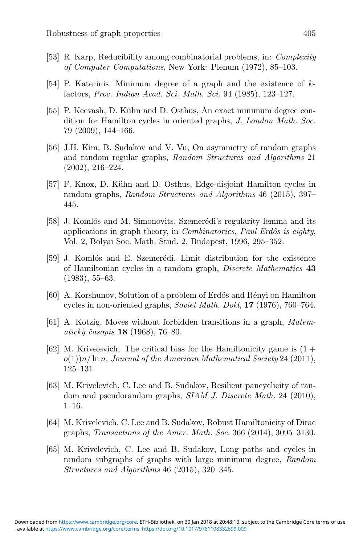- [53] R. Karp, Reducibility among combinatorial problems, in: *Complexity of Computer Computations*, New York: Plenum (1972), 85–103.
- [54] P. Katerinis, Minimum degree of a graph and the existence of kfactors, *Proc. Indian Acad. Sci. Math. Sci.* 94 (1985), 123–127.
- [55] P. Keevash, D. Kühn and D. Osthus, An exact minimum degree condition for Hamilton cycles in oriented graphs, *J. London Math. Soc.* 79 (2009), 144–166.
- [56] J.H. Kim, B. Sudakov and V. Vu, On asymmetry of random graphs and random regular graphs, *Random Structures and Algorithms* 21 (2002), 216–224.
- [57] F. Knox, D. K¨uhn and D. Osthus, Edge-disjoint Hamilton cycles in random graphs, *Random Structures and Algorithms* 46 (2015), 397– 445.
- [58] J. Komlós and M. Simonovits, Szemerédi's regularity lemma and its applications in graph theory, in *Combinatorics, Paul Erd˝os is eighty*, Vol. 2, Bolyai Soc. Math. Stud. 2, Budapest, 1996, 295–352.
- [59] J. Komlós and E. Szemerédi, Limit distribution for the existence of Hamiltonian cycles in a random graph, *Discrete Mathematics* **43** (1983), 55–63.
- [60] A. Korshunov, Solution of a problem of Erdős and Rényi on Hamilton cycles in non-oriented graphs, *Soviet Math. Dokl*, **17** (1976), 760–764.
- [61] A. Kotzig, Moves without forbidden transitions in a graph, *Matematick`y ˇcasopis* **18** (1968), 76–80.
- [62] M. Krivelevich, The critical bias for the Hamiltonicity game is  $(1 +$ o(1))n/ ln n, *Journal of the American Mathematical Society* 24 (2011), 125–131.
- [63] M. Krivelevich, C. Lee and B. Sudakov, Resilient pancyclicity of random and pseudorandom graphs, *SIAM J. Discrete Math.* 24 (2010),  $1-16$ .
- [64] M. Krivelevich, C. Lee and B. Sudakov, Robust Hamiltonicity of Dirac graphs, *Transactions of the Amer. Math. Soc.* 366 (2014), 3095–3130.
- [65] M. Krivelevich, C. Lee and B. Sudakov, Long paths and cycles in random subgraphs of graphs with large minimum degree, *Random Structures and Algorithms* 46 (2015), 320–345.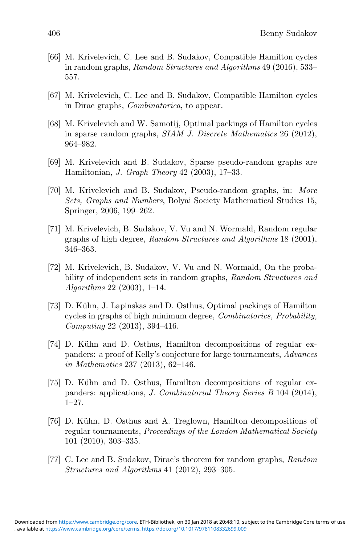- [66] M. Krivelevich, C. Lee and B. Sudakov, Compatible Hamilton cycles in random graphs, *Random Structures and Algorithms* 49 (2016), 533– 557.
- [67] M. Krivelevich, C. Lee and B. Sudakov, Compatible Hamilton cycles in Dirac graphs, *Combinatorica*, to appear.
- [68] M. Krivelevich and W. Samotij, Optimal packings of Hamilton cycles in sparse random graphs, *SIAM J. Discrete Mathematics* 26 (2012), 964–982.
- [69] M. Krivelevich and B. Sudakov, Sparse pseudo-random graphs are Hamiltonian, *J. Graph Theory* 42 (2003), 17–33.
- [70] M. Krivelevich and B. Sudakov, Pseudo-random graphs, in: *More Sets, Graphs and Numbers*, Bolyai Society Mathematical Studies 15, Springer, 2006, 199–262.
- [71] M. Krivelevich, B. Sudakov, V. Vu and N. Wormald, Random regular graphs of high degree, *Random Structures and Algorithms* 18 (2001), 346–363.
- [72] M. Krivelevich, B. Sudakov, V. Vu and N. Wormald, On the probability of independent sets in random graphs, *Random Structures and Algorithms* 22 (2003), 1–14.
- [73] D. Kühn, J. Lapinskas and D. Osthus, Optimal packings of Hamilton cycles in graphs of high minimum degree, *Combinatorics, Probability, Computing* 22 (2013), 394–416.
- [74] D. Kühn and D. Osthus, Hamilton decompositions of regular expanders: a proof of Kelly's conjecture for large tournaments, *Advances in Mathematics* 237 (2013), 62–146.
- [75] D. Kühn and D. Osthus, Hamilton decompositions of regular expanders: applications, *J. Combinatorial Theory Series B* 104 (2014), 1–27.
- [76] D. Kühn, D. Osthus and A. Treglown, Hamilton decompositions of regular tournaments, *Proceedings of the London Mathematical Society* 101 (2010), 303–335.
- [77] C. Lee and B. Sudakov, Dirac's theorem for random graphs, *Random Structures and Algorithms* 41 (2012), 293–305.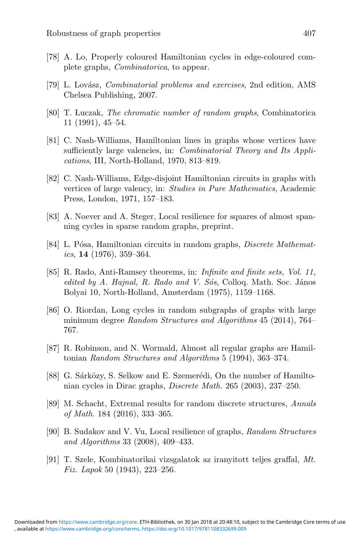- [78] A. Lo, Properly coloured Hamiltonian cycles in edge-coloured complete graphs, *Combinatorica*, to appear.
- [79] L. Lov´asz, *Combinatorial problems and exercises*, 2nd edition, AMS Chelsea Publishing, 2007.
- [80] T. Luczak, *The chromatic number of random graphs*, Combinatorica 11 (1991), 45–54.
- [81] C. Nash-Williams, Hamiltonian lines in graphs whose vertices have sufficiently large valencies, in: *Combinatorial Theory and Its Applications*, III, North-Holland, 1970, 813–819.
- [82] C. Nash-Williams, Edge-disjoint Hamiltonian circuits in graphs with vertices of large valency, in: *Studies in Pure Mathematics*, Academic Press, London, 1971, 157–183.
- [83] A. Noever and A. Steger, Local resilience for squares of almost spanning cycles in sparse random graphs, preprint.
- [84] L. Pósa, Hamiltonian circuits in random graphs, *Discrete Mathematics*, **14** (1976), 359–364.
- [85] R. Rado, Anti-Ramsey theorems, in: *Infinite and finite sets, Vol. 11, edited by A. Hajnal, R. Rado and V. Sós, Colloq. Math. Soc. János* Bolyai 10, North-Holland, Amsterdam (1975), 1159–1168.
- [86] O. Riordan, Long cycles in random subgraphs of graphs with large minimum degree *Random Structures and Algorithms* 45 (2014), 764– 767.
- [87] R. Robinson, and N. Wormald, Almost all regular graphs are Hamiltonian *Random Structures and Algorithms* 5 (1994), 363–374.
- [88] G. Sárközy, S. Selkow and E. Szemerédi, On the number of Hamiltonian cycles in Dirac graphs, *Discrete Math.* 265 (2003), 237–250.
- [89] M. Schacht, Extremal results for random discrete structures, *Annals of Math.* 184 (2016), 333–365.
- [90] B. Sudakov and V. Vu, Local resilience of graphs, *Random Structures and Algorithms* 33 (2008), 409–433.
- [91] T. Szele, Kombinatorikai vizsgalatok az iranyitott teljes graffal, *Mt. Fiz. Lapok* 50 (1943), 223–256.